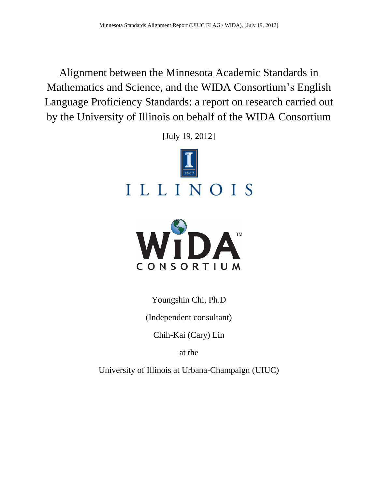Alignment between the Minnesota Academic Standards in Mathematics and Science, and the WIDA Consortium's English Language Proficiency Standards: a report on research carried out by the University of Illinois on behalf of the WIDA Consortium

[July 19, 2012]





Youngshin Chi, Ph.D

(Independent consultant)

Chih-Kai (Cary) Lin

at the

University of Illinois at Urbana-Champaign (UIUC)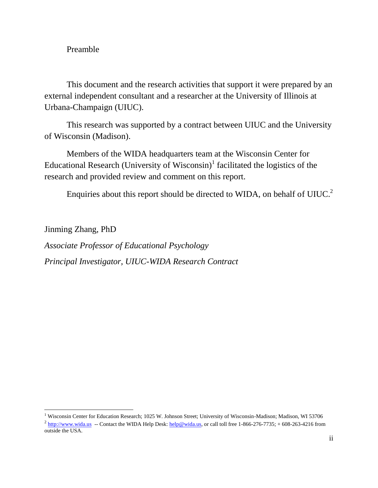## Preamble

 $\overline{a}$ 

This document and the research activities that support it were prepared by an external independent consultant and a researcher at the University of Illinois at Urbana-Champaign (UIUC).

This research was supported by a contract between UIUC and the University of Wisconsin (Madison).

Members of the WIDA headquarters team at the Wisconsin Center for Educational Research (University of Wisconsin)<sup>1</sup> facilitated the logistics of the research and provided review and comment on this report.

Enquiries about this report should be directed to WIDA, on behalf of UIUC.<sup>2</sup>

Jinming Zhang, PhD *Associate Professor of Educational Psychology Principal Investigator, UIUC-WIDA Research Contract*

<sup>&</sup>lt;sup>1</sup> Wisconsin Center for Education Research; 1025 W. Johnson Street; University of Wisconsin-Madison; Madison, WI 53706

 $^2$  [http://www.wida.us](http://www.wida.us/) -- Contact the WIDA Help Desk[: help@wida.us,](mailto:help@wida.us) or call toll free 1-866-276-7735; +608-263-4216 from outside the USA.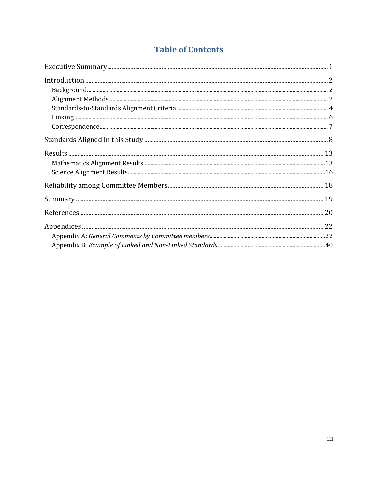# **Table of Contents**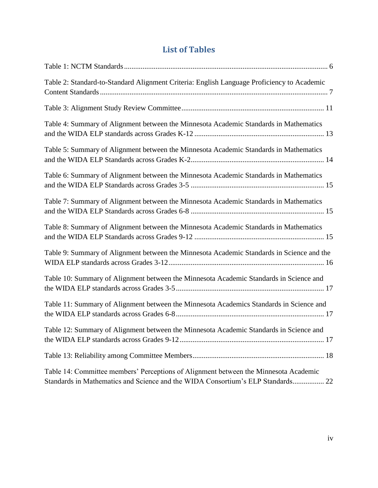# **List of Tables**

| Table 2: Standard-to-Standard Alignment Criteria: English Language Proficiency to Academic                                                                              |
|-------------------------------------------------------------------------------------------------------------------------------------------------------------------------|
|                                                                                                                                                                         |
| Table 4: Summary of Alignment between the Minnesota Academic Standards in Mathematics                                                                                   |
| Table 5: Summary of Alignment between the Minnesota Academic Standards in Mathematics                                                                                   |
| Table 6: Summary of Alignment between the Minnesota Academic Standards in Mathematics                                                                                   |
| Table 7: Summary of Alignment between the Minnesota Academic Standards in Mathematics                                                                                   |
| Table 8: Summary of Alignment between the Minnesota Academic Standards in Mathematics                                                                                   |
| Table 9: Summary of Alignment between the Minnesota Academic Standards in Science and the                                                                               |
| Table 10: Summary of Alignment between the Minnesota Academic Standards in Science and                                                                                  |
| Table 11: Summary of Alignment between the Minnesota Academics Standards in Science and                                                                                 |
| Table 12: Summary of Alignment between the Minnesota Academic Standards in Science and                                                                                  |
|                                                                                                                                                                         |
| Table 14: Committee members' Perceptions of Alignment between the Minnesota Academic<br>Standards in Mathematics and Science and the WIDA Consortium's ELP Standards 22 |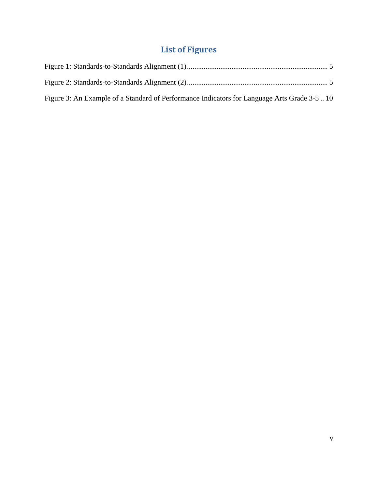# **List of Figures**

| Figure 3: An Example of a Standard of Performance Indicators for Language Arts Grade 3-5  10 |  |
|----------------------------------------------------------------------------------------------|--|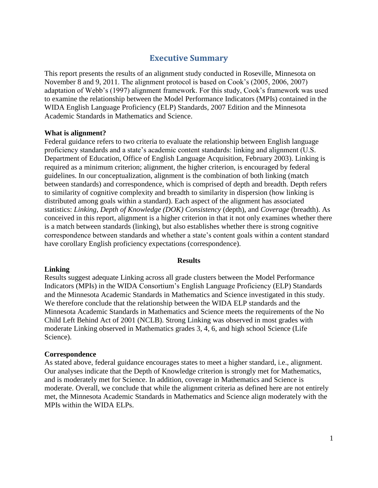## **Executive Summary**

This report presents the results of an alignment study conducted in Roseville, Minnesota on November 8 and 9, 2011. The alignment protocol is based on Cook's (2005, 2006, 2007) adaptation of Webb's (1997) alignment framework. For this study, Cook's framework was used to examine the relationship between the Model Performance Indicators (MPIs) contained in the WIDA English Language Proficiency (ELP) Standards, 2007 Edition and the Minnesota Academic Standards in Mathematics and Science.

#### **What is alignment?**

Federal guidance refers to two criteria to evaluate the relationship between English language proficiency standards and a state's academic content standards: linking and alignment (U.S. Department of Education, Office of English Language Acquisition, February 2003). Linking is required as a minimum criterion; alignment, the higher criterion, is encouraged by federal guidelines. In our conceptualization, alignment is the combination of both linking (match between standards) and correspondence, which is comprised of depth and breadth. Depth refers to similarity of cognitive complexity and breadth to similarity in dispersion (how linking is distributed among goals within a standard). Each aspect of the alignment has associated statistics: *Linking*, *Depth of Knowledge (DOK) Consistency* (depth), and *Coverage* (breadth). As conceived in this report, alignment is a higher criterion in that it not only examines whether there is a match between standards (linking), but also establishes whether there is strong cognitive correspondence between standards and whether a state's content goals within a content standard have corollary English proficiency expectations (correspondence).

#### **Results**

#### **Linking**

Results suggest adequate Linking across all grade clusters between the Model Performance Indicators (MPIs) in the WIDA Consortium's English Language Proficiency (ELP) Standards and the Minnesota Academic Standards in Mathematics and Science investigated in this study. We therefore conclude that the relationship between the WIDA ELP standards and the Minnesota Academic Standards in Mathematics and Science meets the requirements of the No Child Left Behind Act of 2001 (NCLB). Strong Linking was observed in most grades with moderate Linking observed in Mathematics grades 3, 4, 6, and high school Science (Life Science).

#### **Correspondence**

As stated above, federal guidance encourages states to meet a higher standard, i.e., alignment. Our analyses indicate that the Depth of Knowledge criterion is strongly met for Mathematics, and is moderately met for Science. In addition, coverage in Mathematics and Science is moderate. Overall, we conclude that while the alignment criteria as defined here are not entirely met, the Minnesota Academic Standards in Mathematics and Science align moderately with the MPIs within the WIDA ELPs.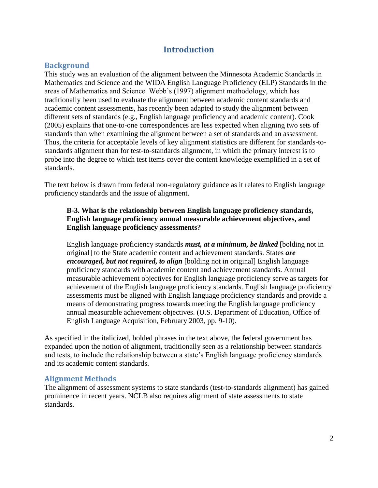## **Introduction**

## **Background**

This study was an evaluation of the alignment between the Minnesota Academic Standards in Mathematics and Science and the WIDA English Language Proficiency (ELP) Standards in the areas of Mathematics and Science. Webb's (1997) alignment methodology, which has traditionally been used to evaluate the alignment between academic content standards and academic content assessments, has recently been adapted to study the alignment between different sets of standards (e.g., English language proficiency and academic content). Cook (2005) explains that one-to-one correspondences are less expected when aligning two sets of standards than when examining the alignment between a set of standards and an assessment. Thus, the criteria for acceptable levels of key alignment statistics are different for standards-tostandards alignment than for test-to-standards alignment, in which the primary interest is to probe into the degree to which test items cover the content knowledge exemplified in a set of standards.

The text below is drawn from federal non-regulatory guidance as it relates to English language proficiency standards and the issue of alignment.

### **B-3. What is the relationship between English language proficiency standards, English language proficiency annual measurable achievement objectives, and English language proficiency assessments?**

English language proficiency standards *must, at a minimum, be linked* [bolding not in original] to the State academic content and achievement standards. States *are encouraged, but not required, to align* [bolding not in original] English language proficiency standards with academic content and achievement standards. Annual measurable achievement objectives for English language proficiency serve as targets for achievement of the English language proficiency standards. English language proficiency assessments must be aligned with English language proficiency standards and provide a means of demonstrating progress towards meeting the English language proficiency annual measurable achievement objectives. (U.S. Department of Education, Office of English Language Acquisition, February 2003, pp. 9-10).

As specified in the italicized, bolded phrases in the text above, the federal government has expanded upon the notion of alignment, traditionally seen as a relationship between standards and tests, to include the relationship between a state's English language proficiency standards and its academic content standards.

## **Alignment Methods**

The alignment of assessment systems to state standards (test-to-standards alignment) has gained prominence in recent years. NCLB also requires alignment of state assessments to state standards.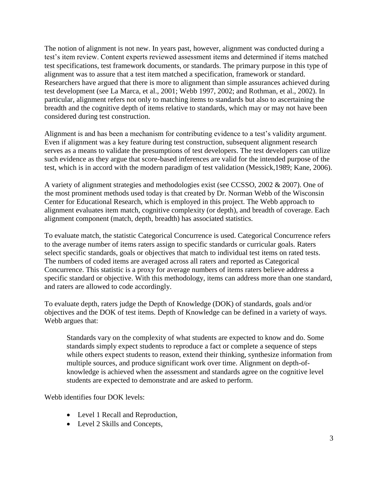The notion of alignment is not new. In years past, however, alignment was conducted during a test's item review. Content experts reviewed assessment items and determined if items matched test specifications, test framework documents, or standards. The primary purpose in this type of alignment was to assure that a test item matched a specification, framework or standard. Researchers have argued that there is more to alignment than simple assurances achieved during test development (see La Marca, et al., 2001; Webb 1997, 2002; and Rothman, et al., 2002). In particular, alignment refers not only to matching items to standards but also to ascertaining the breadth and the cognitive depth of items relative to standards, which may or may not have been considered during test construction.

Alignment is and has been a mechanism for contributing evidence to a test's validity argument. Even if alignment was a key feature during test construction, subsequent alignment research serves as a means to validate the presumptions of test developers. The test developers can utilize such evidence as they argue that score-based inferences are valid for the intended purpose of the test, which is in accord with the modern paradigm of test validation (Messick,1989; Kane, 2006).

A variety of alignment strategies and methodologies exist (see CCSSO, 2002 & 2007). One of the most prominent methods used today is that created by Dr. Norman Webb of the Wisconsin Center for Educational Research, which is employed in this project. The Webb approach to alignment evaluates item match, cognitive complexity (or depth), and breadth of coverage. Each alignment component (match, depth, breadth) has associated statistics.

To evaluate match, the statistic Categorical Concurrence is used. Categorical Concurrence refers to the average number of items raters assign to specific standards or curricular goals. Raters select specific standards, goals or objectives that match to individual test items on rated tests. The numbers of coded items are averaged across all raters and reported as Categorical Concurrence. This statistic is a proxy for average numbers of items raters believe address a specific standard or objective. With this methodology, items can address more than one standard, and raters are allowed to code accordingly.

To evaluate depth, raters judge the Depth of Knowledge (DOK) of standards, goals and/or objectives and the DOK of test items. Depth of Knowledge can be defined in a variety of ways. Webb argues that:

Standards vary on the complexity of what students are expected to know and do. Some standards simply expect students to reproduce a fact or complete a sequence of steps while others expect students to reason, extend their thinking, synthesize information from multiple sources, and produce significant work over time. Alignment on depth-ofknowledge is achieved when the assessment and standards agree on the cognitive level students are expected to demonstrate and are asked to perform.

Webb identifies four DOK levels:

- Level 1 Recall and Reproduction,
- Level 2 Skills and Concepts,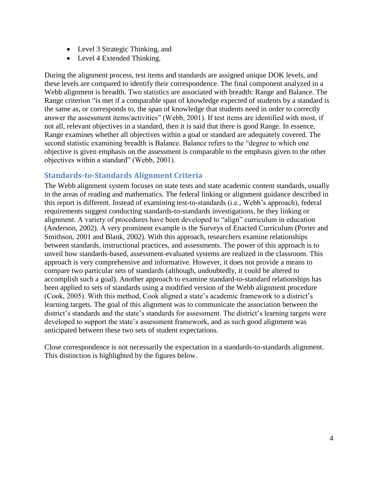- Level 3 Strategic Thinking, and
- Level 4 Extended Thinking.

During the alignment process, test items and standards are assigned unique DOK levels, and these levels are compared to identify their correspondence. The final component analyzed in a Webb alignment is breadth. Two statistics are associated with breadth: Range and Balance. The Range criterion "is met if a comparable span of knowledge expected of students by a standard is the same as, or corresponds to, the span of knowledge that students need in order to correctly answer the assessment items/activities" (Webb, 2001). If test items are identified with most, if not all, relevant objectives in a standard, then it is said that there is good Range. In essence, Range examines whether all objectives within a goal or standard are adequately covered. The second statistic examining breadth is Balance. Balance refers to the "degree to which one objective is given emphasis on the assessment is comparable to the emphasis given to the other objectives within a standard" (Webb, 2001).

## **Standards-to-Standards Alignment Criteria**

The Webb alignment system focuses on state tests and state academic content standards, usually in the areas of reading and mathematics. The federal linking or alignment guidance described in this report is different. Instead of examining test-to-standards (i.e., Webb's approach), federal requirements suggest conducting standards-to-standards investigations, be they linking or alignment. A variety of procedures have been developed to "align" curriculum in education (Anderson, 2002). A very prominent example is the Surveys of Enacted Curriculum (Porter and Smithson, 2001 and Blank, 2002). With this approach, researchers examine relationships between standards, instructional practices, and assessments. The power of this approach is to unveil how standards-based, assessment-evaluated systems are realized in the classroom. This approach is very comprehensive and informative. However, it does not provide a means to compare two particular sets of standards (although, undoubtedly, it could be altered to accomplish such a goal). Another approach to examine standard-to-standard relationships has been applied to sets of standards using a modified version of the Webb alignment procedure (Cook, 2005). With this method, Cook aligned a state's academic framework to a district's learning targets. The goal of this alignment was to communicate the association between the district's standards and the state's standards for assessment. The district's learning targets were developed to support the state's assessment framework, and as such good alignment was anticipated between these two sets of student expectations.

Close correspondence is not necessarily the expectation in a standards-to-standards alignment. This distinction is highlighted by the figures below.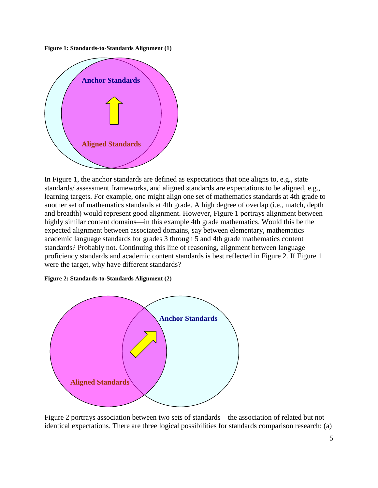**Figure 1: Standards-to-Standards Alignment (1)**



In Figure 1, the anchor standards are defined as expectations that one aligns to, e.g., state standards/ assessment frameworks, and aligned standards are expectations to be aligned, e.g., learning targets. For example, one might align one set of mathematics standards at 4th grade to another set of mathematics standards at 4th grade. A high degree of overlap (i.e., match, depth and breadth) would represent good alignment. However, Figure 1 portrays alignment between highly similar content domains—in this example 4th grade mathematics. Would this be the expected alignment between associated domains, say between elementary, mathematics academic language standards for grades 3 through 5 and 4th grade mathematics content standards? Probably not. Continuing this line of reasoning, alignment between language proficiency standards and academic content standards is best reflected in Figure 2. If Figure 1 were the target, why have different standards?

#### **Figure 2: Standards-to-Standards Alignment (2)**



Figure 2 portrays association between two sets of standards—the association of related but not identical expectations. There are three logical possibilities for standards comparison research: (a)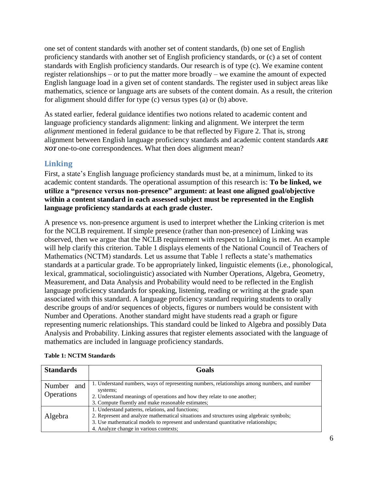one set of content standards with another set of content standards, (b) one set of English proficiency standards with another set of English proficiency standards, or (c) a set of content standards with English proficiency standards. Our research is of type (c). We examine content register relationships – or to put the matter more broadly – we examine the amount of expected English language load in a given set of content standards. The register used in subject areas like mathematics, science or language arts are subsets of the content domain. As a result, the criterion for alignment should differ for type (c) versus types (a) or (b) above.

As stated earlier, federal guidance identifies two notions related to academic content and language proficiency standards alignment: linking and alignment. We interpret the term *alignment* mentioned in federal guidance to be that reflected by Figure 2. That is, strong alignment between English language proficiency standards and academic content standards *ARE NOT* one-to-one correspondences. What then does alignment mean?

## **Linking**

First, a state's English language proficiency standards must be, at a minimum, linked to its academic content standards. The operational assumption of this research is: **To be linked, we utilize a "presence versus non-presence" argument: at least one aligned goal/objective within a content standard in each assessed subject must be represented in the English language proficiency standards at each grade cluster.**

A presence vs. non-presence argument is used to interpret whether the Linking criterion is met for the NCLB requirement. If simple presence (rather than non-presence) of Linking was observed, then we argue that the NCLB requirement with respect to Linking is met. An example will help clarify this criterion. Table 1 displays elements of the National Council of Teachers of Mathematics (NCTM) standards. Let us assume that Table 1 reflects a state's mathematics standards at a particular grade. To be appropriately linked, linguistic elements (i.e., phonological, lexical, grammatical, sociolinguistic) associated with Number Operations, Algebra, Geometry, Measurement, and Data Analysis and Probability would need to be reflected in the English language proficiency standards for speaking, listening, reading or writing at the grade span associated with this standard. A language proficiency standard requiring students to orally describe groups of and/or sequences of objects, figures or numbers would be consistent with Number and Operations. Another standard might have students read a graph or figure representing numeric relationships. This standard could be linked to Algebra and possibly Data Analysis and Probability. Linking assures that register elements associated with the language of mathematics are included in language proficiency standards.

| <b>Standards</b>                | Goals                                                                                                                                                                                                                                                                         |
|---------------------------------|-------------------------------------------------------------------------------------------------------------------------------------------------------------------------------------------------------------------------------------------------------------------------------|
| Number and<br><b>Operations</b> | 1. Understand numbers, ways of representing numbers, relationships among numbers, and number<br>systems;<br>2. Understand meanings of operations and how they relate to one another;<br>3. Compute fluently and make reasonable estimates;                                    |
| Algebra                         | 1. Understand patterns, relations, and functions;<br>2. Represent and analyze mathematical situations and structures using algebraic symbols;<br>3. Use mathematical models to represent and understand quantitative relationships;<br>4. Analyze change in various contexts; |

#### **Table 1: NCTM Standards**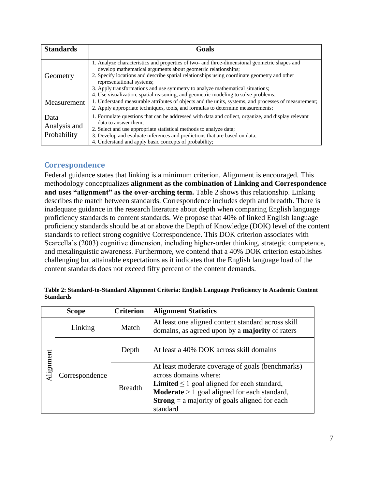| <b>Standards</b>                    | Goals                                                                                                                                                                                                                                                                                                                                                                                                                                                            |
|-------------------------------------|------------------------------------------------------------------------------------------------------------------------------------------------------------------------------------------------------------------------------------------------------------------------------------------------------------------------------------------------------------------------------------------------------------------------------------------------------------------|
| Geometry                            | 1. Analyze characteristics and properties of two- and three-dimensional geometric shapes and<br>develop mathematical arguments about geometric relationships;<br>2. Specify locations and describe spatial relationships using coordinate geometry and other<br>representational systems;<br>3. Apply transformations and use symmetry to analyze mathematical situations;<br>4. Use visualization, spatial reasoning, and geometric modeling to solve problems; |
| Measurement                         | 1. Understand measurable attributes of objects and the units, systems, and processes of measurement;<br>2. Apply appropriate techniques, tools, and formulas to determine measurements;                                                                                                                                                                                                                                                                          |
| Data<br>Analysis and<br>Probability | 1. Formulate questions that can be addressed with data and collect, organize, and display relevant<br>data to answer them:<br>2. Select and use appropriate statistical methods to analyze data;<br>3. Develop and evaluate inferences and predictions that are based on data;<br>4. Understand and apply basic concepts of probability;                                                                                                                         |

## **Correspondence**

Federal guidance states that linking is a minimum criterion. Alignment is encouraged. This methodology conceptualizes **alignment as the combination of Linking and Correspondence** and uses "alignment" as the over-arching term. Table 2 shows this relationship. Linking describes the match between standards. Correspondence includes depth and breadth. There is inadequate guidance in the research literature about depth when comparing English language proficiency standards to content standards. We propose that 40% of linked English language proficiency standards should be at or above the Depth of Knowledge (DOK) level of the content standards to reflect strong cognitive Correspondence. This DOK criterion associates with Scarcella's (2003) cognitive dimension, including higher-order thinking, strategic competence, and metalinguistic awareness. Furthermore, we contend that a 40% DOK criterion establishes challenging but attainable expectations as it indicates that the English language load of the content standards does not exceed fifty percent of the content demands.

|           | <b>Scope</b>   | <b>Criterion</b> | <b>Alignment Statistics</b>                                                                                                                                                                                                                                       |
|-----------|----------------|------------------|-------------------------------------------------------------------------------------------------------------------------------------------------------------------------------------------------------------------------------------------------------------------|
|           | Linking        | Match            | At least one aligned content standard across skill<br>domains, as agreed upon by a <b>majority</b> of raters                                                                                                                                                      |
|           |                | Depth            | At least a 40% DOK across skill domains                                                                                                                                                                                                                           |
| Alignment | Correspondence | <b>Breadth</b>   | At least moderate coverage of goals (benchmarks)<br>across domains where:<br><b>Limited</b> $\leq 1$ goal aligned for each standard,<br><b>Moderate</b> $> 1$ goal aligned for each standard,<br><b>Strong</b> = a majority of goals aligned for each<br>standard |

|                  | Table 2: Standard-to-Standard Alignment Criteria: English Language Proficiency to Academic Content |
|------------------|----------------------------------------------------------------------------------------------------|
| <b>Standards</b> |                                                                                                    |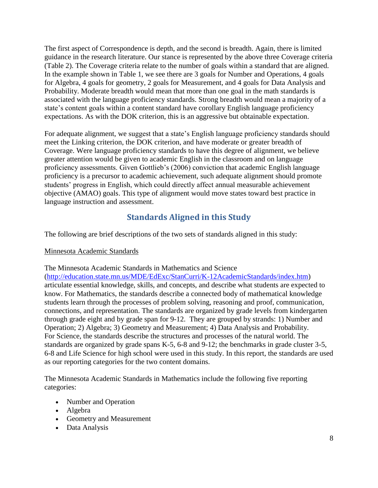The first aspect of Correspondence is depth, and the second is breadth. Again, there is limited guidance in the research literature. Our stance is represented by the above three Coverage criteria (Table 2). The Coverage criteria relate to the number of goals within a standard that are aligned. In the example shown in Table 1, we see there are 3 goals for Number and Operations, 4 goals for Algebra, 4 goals for geometry, 2 goals for Measurement, and 4 goals for Data Analysis and Probability. Moderate breadth would mean that more than one goal in the math standards is associated with the language proficiency standards. Strong breadth would mean a majority of a state's content goals within a content standard have corollary English language proficiency expectations. As with the DOK criterion, this is an aggressive but obtainable expectation.

For adequate alignment, we suggest that a state's English language proficiency standards should meet the Linking criterion, the DOK criterion, and have moderate or greater breadth of Coverage. Were language proficiency standards to have this degree of alignment, we believe greater attention would be given to academic English in the classroom and on language proficiency assessments. Given Gottlieb's (2006) conviction that academic English language proficiency is a precursor to academic achievement, such adequate alignment should promote students' progress in English, which could directly affect annual measurable achievement objective (AMAO) goals. This type of alignment would move states toward best practice in language instruction and assessment.

## **Standards Aligned in this Study**

The following are brief descriptions of the two sets of standards aligned in this study:

## Minnesota Academic Standards

The Minnesota Academic Standards in Mathematics and Science

[\(http://education.state.mn.us/MDE/EdExc/StanCurri/K-12AcademicStandards/index.htm\)](http://education.state.mn.us/MDE/EdExc/StanCurri/K-12AcademicStandards/index.htm) articulate essential knowledge, skills, and concepts, and describe what students are expected to know. For Mathematics, the standards describe a connected body of mathematical knowledge students learn through the processes of problem solving, reasoning and proof, communication, connections, and representation. The standards are organized by grade levels from kindergarten through grade eight and by grade span for 9-12. They are grouped by strands: 1) Number and Operation; 2) Algebra; 3) Geometry and Measurement; 4) Data Analysis and Probability. For Science, the standards describe the structures and processes of the natural world. The standards are organized by grade spans K-5, 6-8 and 9-12; the benchmarks in grade cluster 3-5, 6-8 and Life Science for high school were used in this study. In this report, the standards are used as our reporting categories for the two content domains.

The Minnesota Academic Standards in Mathematics include the following five reporting categories:

- Number and Operation
- Algebra
- Geometry and Measurement
- Data Analysis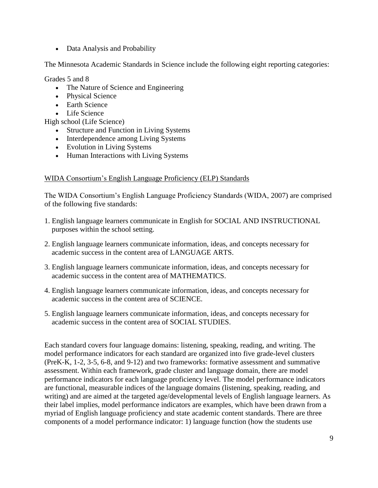• Data Analysis and Probability

The Minnesota Academic Standards in Science include the following eight reporting categories:

Grades 5 and 8

- The Nature of Science and Engineering
- Physical Science
- Earth Science
- Life Science

High school (Life Science)

- Structure and Function in Living Systems
- Interdependence among Living Systems
- Evolution in Living Systems
- Human Interactions with Living Systems

## WIDA Consortium's English Language Proficiency (ELP) Standards

The WIDA Consortium's English Language Proficiency Standards (WIDA, 2007) are comprised of the following five standards:

- 1. English language learners communicate in English for SOCIAL AND INSTRUCTIONAL purposes within the school setting.
- 2. English language learners communicate information, ideas, and concepts necessary for academic success in the content area of LANGUAGE ARTS.
- 3. English language learners communicate information, ideas, and concepts necessary for academic success in the content area of MATHEMATICS.
- 4. English language learners communicate information, ideas, and concepts necessary for academic success in the content area of SCIENCE.
- 5. English language learners communicate information, ideas, and concepts necessary for academic success in the content area of SOCIAL STUDIES.

Each standard covers four language domains: listening, speaking, reading, and writing. The model performance indicators for each standard are organized into five grade-level clusters (PreK-K, 1-2, 3-5, 6-8, and 9-12) and two frameworks: formative assessment and summative assessment. Within each framework, grade cluster and language domain, there are model performance indicators for each language proficiency level. The model performance indicators are functional, measurable indices of the language domains (listening, speaking, reading, and writing) and are aimed at the targeted age/developmental levels of English language learners. As their label implies, model performance indicators are examples, which have been drawn from a myriad of English language proficiency and state academic content standards. There are three components of a model performance indicator: 1) language function (how the students use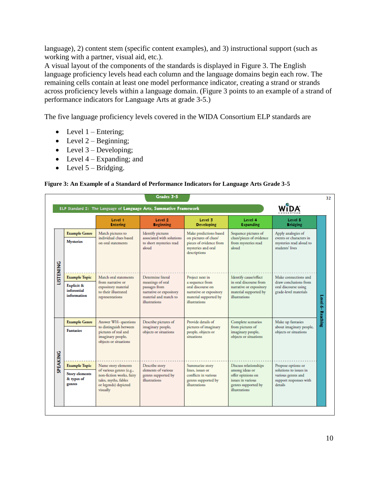language), 2) content stem (specific content examples), and 3) instructional support (such as working with a partner, visual aid, etc.).

A visual layout of the components of the standards is displayed in Figure 3. The English language proficiency levels head each column and the language domains begin each row. The remaining cells contain at least one model performance indicator, creating a strand or strands across proficiency levels within a language domain. (Figure 3 points to an example of a strand of performance indicators for Language Arts at grade 3-5.)

The five language proficiency levels covered in the WIDA Consortium ELP standards are

- $\bullet$  Level 1 Entering;
- $\bullet$  Level 2 Beginning;
- Level  $3$  Developing;
- Level  $4$  Expanding; and
- Level  $5 Bridging$ .

#### **Figure 3: An Example of a Standard of Performance Indicators for Language Arts Grade 3-5**

|                  |                                                                             | Level 1<br><b>Entering</b>                                                                                                              | Level <sub>2</sub><br><b>Beginning</b>                                                                                      | Level 3<br><b>Developing</b>                                                                                                 | Level 4<br><b>Expanding</b>                                                                                               | Level 5<br><b>Bridging</b>                                                                              |
|------------------|-----------------------------------------------------------------------------|-----------------------------------------------------------------------------------------------------------------------------------------|-----------------------------------------------------------------------------------------------------------------------------|------------------------------------------------------------------------------------------------------------------------------|---------------------------------------------------------------------------------------------------------------------------|---------------------------------------------------------------------------------------------------------|
|                  | <b>Example Genre</b><br><b>Mysteries</b>                                    | Match pictures to<br>individual clues based<br>on oral statements                                                                       | <b>Identify pictures</b><br>associated with solutions<br>to short mysteries read<br>aloud                                   | Make predictions based<br>on pictures of clues/<br>pieces of evidence from<br>mysteries and oral<br>descriptions             | Sequence pictures of<br>clues/pieces of evidence<br>from mysteries read<br>aloud                                          | Apply analogies of<br>events or characters in<br>mysteries read aloud to<br>students' lives             |
| <b>LISTENING</b> | <b>Example Topic</b><br><b>Explicit &amp;</b><br>inferential<br>information | Match oral statements<br>from narrative or<br>expository material<br>to their illustrated<br>representations                            | Determine literal<br>meanings of oral<br>passages from<br>narrative or expository<br>material and match to<br>illustrations | Project next in<br>a sequence from<br>oral discourse on<br>narrative or expository<br>material supported by<br>illustrations | Identify cause/effect<br>in oral discourse from<br>narrative or expository<br>material supported by<br>illustrations      | Make connections and<br>draw conclusions from<br>oral discourse using<br>grade-level materials          |
|                  | <b>Example Genre</b><br><b>Fantasies</b>                                    | Answer WH- questions<br>to distinguish between<br>pictures of real and<br>imaginary people,<br>objects or situations                    | Describe pictures of<br>imaginary people,<br>objects or situations                                                          | Provide details of<br>pictures of imaginary<br>people, objects or<br>situations                                              | Complete scenarios<br>from pictures of<br>imaginary people,<br>objects or situations                                      | Make up fantasies<br>about imaginary people,<br>objects or situations                                   |
| SPEAKING         | <b>Example Topic</b><br><b>Story elements</b><br>& types of<br>genres       | Name story elements<br>of various genres (e.g.,<br>non-fiction works, fairy<br>tales, myths, fables<br>or legends) depicted<br>visually | Describe story<br>elements of various<br>genres supported by<br><b>illustrations</b>                                        | Summarize story<br>lines, issues or<br>conflicts in various<br>genres supported by<br>illustrations                          | Discuss relationships<br>among ideas or<br>offer opinions on<br>issues in various<br>genres supported by<br>illustrations | Propose options or<br>solutions to issues in<br>various genres and<br>support responses with<br>details |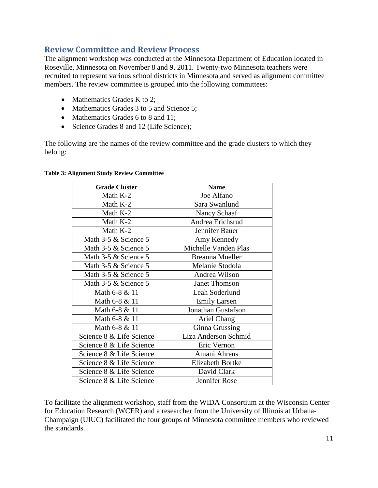## **Review Committee and Review Process**

The alignment workshop was conducted at the Minnesota Department of Education located in Roseville, Minnesota on November 8 and 9, 2011. Twenty-two Minnesota teachers were recruited to represent various school districts in Minnesota and served as alignment committee members. The review committee is grouped into the following committees:

- Mathematics Grades K to 2;
- Mathematics Grades 3 to 5 and Science 5;
- Mathematics Grades 6 to 8 and 11;
- Science Grades 8 and 12 (Life Science);

The following are the names of the review committee and the grade clusters to which they belong:

| <b>Grade Cluster</b>     | <b>Name</b>             |
|--------------------------|-------------------------|
| Math K-2                 | Joe Alfano              |
| Math K-2                 | Sara Swanlund           |
| Math K-2                 | Nancy Schaaf            |
| Math K-2                 | Andrea Erichsrud        |
| Math K-2                 | Jennifer Bauer          |
| Math 3-5 & Science 5     | Amy Kennedy             |
| Math 3-5 & Science 5     | Michelle Vanden Plas    |
| Math 3-5 & Science 5     | <b>Breanna Mueller</b>  |
| Math 3-5 & Science 5     | Melanie Stodola         |
| Math 3-5 & Science 5     | Andrea Wilson           |
| Math 3-5 & Science 5     | <b>Janet Thomson</b>    |
| Math 6-8 & 11            | Leah Soderlund          |
| Math 6-8 & 11            | <b>Emily Larsen</b>     |
| Math 6-8 & 11            | Jonathan Gustafson      |
| Math 6-8 & 11            | Ariel Chang             |
| Math 6-8 & 11            | Ginna Grussing          |
| Science 8 & Life Science | Liza Anderson Schmid    |
| Science 8 & Life Science | Eric Vernon             |
| Science 8 & Life Science | Amani Ahrens            |
| Science 8 & Life Science | <b>Elizabeth Bortke</b> |
| Science 8 & Life Science | David Clark             |
| Science 8 & Life Science | Jennifer Rose           |

#### **Table 3: Alignment Study Review Committee**

To facilitate the alignment workshop, staff from the WIDA Consortium at the Wisconsin Center for Education Research (WCER) and a researcher from the University of Illinois at Urbana-Champaign (UIUC) facilitated the four groups of Minnesota committee members who reviewed the standards.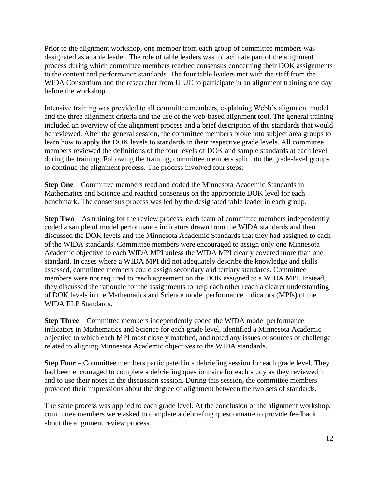Prior to the alignment workshop, one member from each group of committee members was designated as a table leader. The role of table leaders was to facilitate part of the alignment process during which committee members reached consensus concerning their DOK assignments to the content and performance standards. The four table leaders met with the staff from the WIDA Consortium and the researcher from UIUC to participate in an alignment training one day before the workshop.

Intensive training was provided to all committee members, explaining Webb's alignment model and the three alignment criteria and the use of the web-based alignment tool. The general training included an overview of the alignment process and a brief description of the standards that would be reviewed. After the general session, the committee members broke into subject area groups to learn how to apply the DOK levels to standards in their respective grade levels. All committee members reviewed the definitions of the four levels of DOK and sample standards at each level during the training. Following the training, committee members split into the grade-level groups to continue the alignment process. The process involved four steps:

**Step One** – Committee members read and coded the Minnesota Academic Standards in Mathematics and Science and reached consensus on the appropriate DOK level for each benchmark. The consensus process was led by the designated table leader in each group.

**Step Two** – As training for the review process, each team of committee members independently coded a sample of model performance indicators drawn from the WIDA standards and then discussed the DOK levels and the Minnesota Academic Standards that they had assigned to each of the WIDA standards. Committee members were encouraged to assign only one Minnesota Academic objective to each WIDA MPI unless the WIDA MPI clearly covered more than one standard. In cases where a WIDA MPI did not adequately describe the knowledge and skills assessed, committee members could assign secondary and tertiary standards. Committee members were not required to reach agreement on the DOK assigned to a WIDA MPI. Instead, they discussed the rationale for the assignments to help each other reach a clearer understanding of DOK levels in the Mathematics and Science model performance indicators (MPIs) of the WIDA ELP Standards.

**Step Three** – Committee members independently coded the WIDA model performance indicators in Mathematics and Science for each grade level, identified a Minnesota Academic objective to which each MPI most closely matched, and noted any issues or sources of challenge related to aligning Minnesota Academic objectives to the WIDA standards.

**Step Four** – Committee members participated in a debriefing session for each grade level. They had been encouraged to complete a debriefing questionnaire for each study as they reviewed it and to use their notes in the discussion session. During this session, the committee members provided their impressions about the degree of alignment between the two sets of standards.

The same process was applied to each grade level. At the conclusion of the alignment workshop, committee members were asked to complete a debriefing questionnaire to provide feedback about the alignment review process.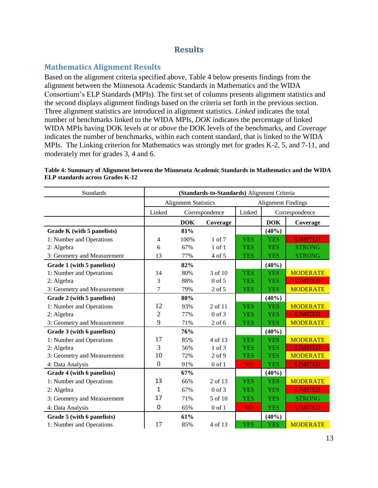## **Results**

## **Mathematics Alignment Results**

Based on the alignment criteria specified above, Table 4 below presents findings from the alignment between the Minnesota Academic Standards in Mathematics and the WIDA Consortium's ELP Standards (MPIs). The first set of columns presents alignment statistics and the second displays alignment findings based on the criteria set forth in the previous section. Three alignment statistics are introduced in alignment statistics. *Linked* indicates the total number of benchmarks linked to the WIDA MPIs, *DOK* indicates the percentage of linked WIDA MPIs having DOK levels *at* or *above* the DOK levels of the benchmarks, and *Coverage* indicates the number of benchmarks, within each content standard, that is linked to the WIDA MPIs. The Linking criterion for Mathematics was strongly met for grades K-2, 5, and 7-11, and moderately met for grades 3, 4 and 6.

| <b>Standards</b>            | (Standards-to-Standards) Alignment Criteria |            |            |                           |                |                 |
|-----------------------------|---------------------------------------------|------------|------------|---------------------------|----------------|-----------------|
|                             | <b>Alignment Statistics</b>                 |            |            | <b>Alignment Findings</b> |                |                 |
|                             | Linked<br>Correspondence                    |            | Linked     |                           | Correspondence |                 |
|                             |                                             | <b>DOK</b> | Coverage   |                           | <b>DOK</b>     | Coverage        |
| Grade K (with 5 panelists)  |                                             | 81%        |            |                           | (40%)          |                 |
| 1: Number and Operations    | 4                                           | 100%       | $1$ of $7$ | <b>YES</b>                | <b>YES</b>     | <b>LIMITED</b>  |
| 2: Algebra                  | 6                                           | 67%        | $1$ of $1$ | <b>YES</b>                | <b>YES</b>     | <b>STRONG</b>   |
| 3: Geometry and Measurement | 13                                          | 77%        | 4 of 5     | <b>YES</b>                | <b>YES</b>     | <b>STRONG</b>   |
| Grade 1 (with 5 panelists)  |                                             | 82%        |            |                           | (40%)          |                 |
| 1: Number and Operations    | 14                                          | 80%        | 3 of 10    | <b>YES</b>                | <b>YES</b>     | <b>MODERATE</b> |
| 2: Algebra                  | 3                                           | 88%        | $0$ of 5   | <b>YES</b>                | <b>YES</b>     | <b>LIMITED</b>  |
| 3: Geometry and Measurement | 7                                           | 79%        | 2 of 5     | <b>YES</b>                | <b>YES</b>     | <b>MODERATE</b> |
| Grade 2 (with 5 panelists)  |                                             | 80%        |            |                           | (40%)          |                 |
| 1: Number and Operations    | 12                                          | 93%        | 2 of 11    | <b>YES</b>                | <b>YES</b>     | <b>MODERATE</b> |
| 2: Algebra                  | $\overline{2}$                              | 77%        | $0$ of $3$ | <b>YES</b>                | <b>YES</b>     | <b>LIMITED</b>  |
| 3: Geometry and Measurement | 9                                           | 71%        | $2$ of 6   | <b>YES</b>                | <b>YES</b>     | <b>MODERATE</b> |
| Grade 3 (with 6 panelists)  |                                             | 76%        |            |                           | (40%)          |                 |
| 1: Number and Operations    | 17                                          | 85%        | 4 of 13    | <b>YES</b>                | <b>YES</b>     | <b>MODERATE</b> |
| 2: Algebra                  | 3                                           | 56%        | $1$ of $3$ | <b>YES</b>                | <b>YES</b>     | <b>LIMITED</b>  |
| 3: Geometry and Measurement | 10                                          | 72%        | $2$ of $9$ | <b>YES</b>                | <b>YES</b>     | <b>MODERATE</b> |
| 4: Data Analysis            | $\boldsymbol{0}$                            | 91%        | $0$ of $1$ | <b>NO</b>                 | <b>YES</b>     | <b>LIMITED</b>  |
| Grade 4 (with 6 panelists)  |                                             | 67%        |            |                           | (40%)          |                 |
| 1: Number and Operations    | 13                                          | 66%        | 2 of 13    | <b>YES</b>                | <b>YES</b>     | <b>MODERATE</b> |
| 2: Algebra                  | $\mathbf{1}$                                | 67%        | $0$ of $3$ | <b>YES</b>                | <b>YES</b>     | <b>LIMITED</b>  |
| 3: Geometry and Measurement | 17                                          | 71%        | 5 of 10    | <b>YES</b>                | <b>YES</b>     | <b>STRONG</b>   |
| 4: Data Analysis            | 0                                           | 65%        | $0$ of $1$ | <b>NO</b>                 | <b>YES</b>     | <b>LIMITED</b>  |
| Grade 5 (with 6 panelists)  |                                             | 61%        |            |                           | (40%)          |                 |
| 1: Number and Operations    | 17                                          | 85%        | 4 of 13    | <b>YES</b>                | <b>YES</b>     | <b>MODERATE</b> |

**Table 4: Summary of Alignment between the Minnesota Academic Standards in Mathematics and the WIDA ELP standards across Grades K-12**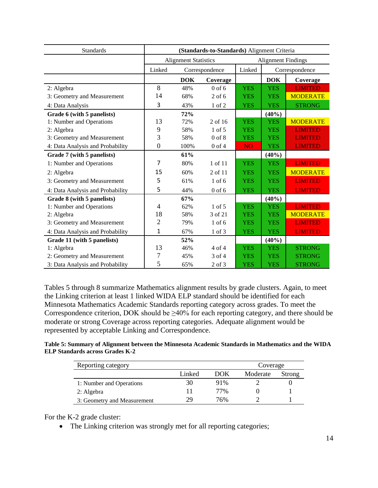| <b>Standards</b>                 | (Standards-to-Standards) Alignment Criteria |                |            |                           |                |                 |  |
|----------------------------------|---------------------------------------------|----------------|------------|---------------------------|----------------|-----------------|--|
|                                  | <b>Alignment Statistics</b>                 |                |            | <b>Alignment Findings</b> |                |                 |  |
|                                  | Linked                                      | Correspondence |            | Linked                    | Correspondence |                 |  |
|                                  |                                             | <b>DOK</b>     | Coverage   |                           | <b>DOK</b>     | Coverage        |  |
| 2: Algebra                       | 8                                           | 48%            | $0$ of 6   | <b>YES</b>                | <b>YES</b>     | <b>LIMITED</b>  |  |
| 3: Geometry and Measurement      | 14                                          | 68%            | $2$ of 6   | <b>YES</b>                | <b>YES</b>     | <b>MODERATE</b> |  |
| 4: Data Analysis                 | 3                                           | 43%            | $1$ of $2$ | <b>YES</b>                | <b>YES</b>     | <b>STRONG</b>   |  |
| Grade 6 (with 5 panelists)       |                                             | 72%            |            |                           | (40%)          |                 |  |
| 1: Number and Operations         | 13                                          | 72%            | 2 of 16    | <b>YES</b>                | <b>YES</b>     | <b>MODERATE</b> |  |
| 2: Algebra                       | 9                                           | 58%            | $1$ of $5$ | <b>YES</b>                | <b>YES</b>     | <b>LIMITED</b>  |  |
| 3: Geometry and Measurement      | 3                                           | 58%            | $0$ of $8$ | <b>YES</b>                | <b>YES</b>     | <b>LIMITED</b>  |  |
| 4: Data Analysis and Probability | $\boldsymbol{0}$                            | 100%           | $0$ of $4$ | <b>NO</b>                 | <b>YES</b>     | <b>LIMITED</b>  |  |
| Grade 7 (with 5 panelists)       |                                             | 61%            |            |                           | (40%)          |                 |  |
| 1: Number and Operations         | 7                                           | 80%            | 1 of 11    | <b>YES</b>                | <b>YES</b>     | <b>LIMITED</b>  |  |
| 2: Algebra                       | 15                                          | 60%            | 2 of 11    | <b>YES</b>                | <b>YES</b>     | <b>MODERATE</b> |  |
| 3: Geometry and Measurement      | 5                                           | 61%            | $1$ of 6   | <b>YES</b>                | <b>YES</b>     | <b>LIMITED</b>  |  |
| 4: Data Analysis and Probability | 5                                           | 44%            | $0$ of 6   | <b>YES</b>                | <b>YES</b>     | <b>LIMITED</b>  |  |
| Grade 8 (with 5 panelists)       |                                             | 67%            |            |                           | (40%)          |                 |  |
| 1: Number and Operations         | $\overline{4}$                              | 62%            | $1$ of 5   | <b>YES</b>                | <b>YES</b>     | <b>LIMITED</b>  |  |
| 2: Algebra                       | 18                                          | 58%            | 3 of 21    | <b>YES</b>                | <b>YES</b>     | <b>MODERATE</b> |  |
| 3: Geometry and Measurement      | $\overline{2}$                              | 79%            | $1$ of $6$ | <b>YES</b>                | <b>YES</b>     | <b>LIMITED</b>  |  |
| 4: Data Analysis and Probability | $\mathbf{1}$                                | 67%            | 1 of 3     | <b>YES</b>                | <b>YES</b>     | <b>LIMITED</b>  |  |
| Grade 11 (with 5 panelists)      |                                             | 52%            |            |                           | (40%)          |                 |  |
| 1: Algebra                       | 13                                          | 46%            | 4 of 4     | <b>YES</b>                | <b>YES</b>     | <b>STRONG</b>   |  |
| 2: Geometry and Measurement      | 7                                           | 45%            | 3 of 4     | <b>YES</b>                | <b>YES</b>     | <b>STRONG</b>   |  |
| 3: Data Analysis and Probability | 5                                           | 65%            | 2 of 3     | <b>YES</b>                | <b>YES</b>     | <b>STRONG</b>   |  |

Tables 5 through 8 summarize Mathematics alignment results by grade clusters. Again, to meet the Linking criterion at least 1 linked WIDA ELP standard should be identified for each Minnesota Mathematics Academic Standards reporting category across grades. To meet the Correspondence criterion, DOK should be  $\geq 40\%$  for each reporting category, and there should be moderate or strong Coverage across reporting categories. Adequate alignment would be represented by acceptable Linking and Correspondence.

#### **Table 5: Summary of Alignment between the Minnesota Academic Standards in Mathematics and the WIDA ELP Standards across Grades K-2**

| Reporting category          |        | Coverage |          |        |
|-----------------------------|--------|----------|----------|--------|
|                             | Linked | DOK      | Moderate | Strong |
| 1: Number and Operations    | 30     | 91%      |          |        |
| 2: Algebra                  |        | 77%      |          |        |
| 3: Geometry and Measurement | 29     | 76%      |          |        |

For the K-2 grade cluster:

• The Linking criterion was strongly met for all reporting categories;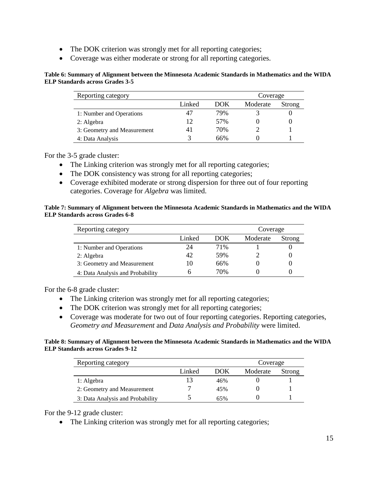- The DOK criterion was strongly met for all reporting categories;
- Coverage was either moderate or strong for all reporting categories.

#### **Table 6: Summary of Alignment between the Minnesota Academic Standards in Mathematics and the WIDA ELP Standards across Grades 3-5**

| Reporting category<br>Coverage |        |            |          |        |  |  |
|--------------------------------|--------|------------|----------|--------|--|--|
|                                | Linked | <b>DOK</b> | Moderate | Strong |  |  |
| 1: Number and Operations       |        | 79%        |          |        |  |  |
| 2: Algebra                     | 12     | 57%        |          |        |  |  |
| 3: Geometry and Measurement    |        | 70%        |          |        |  |  |
| 4: Data Analysis               |        | 66%        |          |        |  |  |

#### For the 3-5 grade cluster:

- The Linking criterion was strongly met for all reporting categories;
- The DOK consistency was strong for all reporting categories;
- Coverage exhibited moderate or strong dispersion for three out of four reporting categories. Coverage for *Algebra* was limited.

#### **Table 7: Summary of Alignment between the Minnesota Academic Standards in Mathematics and the WIDA ELP Standards across Grades 6-8**

| Reporting category               | Coverage |      |          |        |
|----------------------------------|----------|------|----------|--------|
|                                  | Linked   | DOK. | Moderate | Strong |
| 1: Number and Operations         | 24       | 71%  |          |        |
| 2: Algebra                       | 42       | 59%  |          |        |
| 3: Geometry and Measurement      | 10       | 66%  |          |        |
| 4: Data Analysis and Probability |          | 70%  |          |        |

For the 6-8 grade cluster:

- The Linking criterion was strongly met for all reporting categories;
- The DOK criterion was strongly met for all reporting categories;
- Coverage was moderate for two out of four reporting categories. Reporting categories, *Geometry and Measurement* and *Data Analysis and Probability* were limited.

#### **Table 8: Summary of Alignment between the Minnesota Academic Standards in Mathematics and the WIDA ELP Standards across Grades 9-12**

| Reporting category               | Coverage |            |          |        |
|----------------------------------|----------|------------|----------|--------|
|                                  | Linked   | <b>DOK</b> | Moderate | Strong |
| 1: Algebra                       |          | 46%        |          |        |
| 2: Geometry and Measurement      |          | 45%        |          |        |
| 3: Data Analysis and Probability |          | 65%        |          |        |

#### For the 9-12 grade cluster:

• The Linking criterion was strongly met for all reporting categories;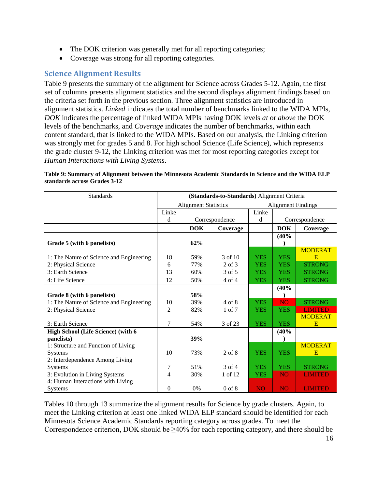- The DOK criterion was generally met for all reporting categories;
- Coverage was strong for all reporting categories.

## **Science Alignment Results**

Table 9 presents the summary of the alignment for Science across Grades 5-12. Again, the first set of columns presents alignment statistics and the second displays alignment findings based on the criteria set forth in the previous section. Three alignment statistics are introduced in alignment statistics. *Linked* indicates the total number of benchmarks linked to the WIDA MPIs, *DOK* indicates the percentage of linked WIDA MPIs having DOK levels *at* or *above* the DOK levels of the benchmarks, and *Coverage* indicates the number of benchmarks, within each content standard, that is linked to the WIDA MPIs. Based on our analysis, the Linking criterion was strongly met for grades 5 and 8. For high school Science (Life Science), which represents the grade cluster 9-12, the Linking criterion was met for most reporting categories except for *Human Interactions with Living Systems*.

| <b>Standards</b>                         | (Standards-to-Standards) Alignment Criteria |                             |                |                |                           |                |
|------------------------------------------|---------------------------------------------|-----------------------------|----------------|----------------|---------------------------|----------------|
|                                          |                                             | <b>Alignment Statistics</b> |                |                | <b>Alignment Findings</b> |                |
|                                          | Linke                                       |                             |                | Linke          |                           |                |
|                                          | d                                           |                             | Correspondence | d              |                           | Correspondence |
|                                          |                                             | <b>DOK</b>                  | Coverage       |                | <b>DOK</b>                | Coverage       |
|                                          |                                             |                             |                |                | (40%                      |                |
| Grade 5 (with 6 panelists)               |                                             | 62%                         |                |                |                           |                |
|                                          |                                             |                             |                |                |                           | <b>MODERAT</b> |
| 1: The Nature of Science and Engineering | 18                                          | 59%                         | 3 of 10        | <b>YES</b>     | <b>YES</b>                | E              |
| 2: Physical Science                      | 6                                           | 77%                         | $2$ of $3$     | <b>YES</b>     | <b>YES</b>                | <b>STRONG</b>  |
| 3: Earth Science                         | 13                                          | 60%                         | 3 of 5         | <b>YES</b>     | <b>YES</b>                | <b>STRONG</b>  |
| 4: Life Science                          | 12                                          | 50%                         | 4 of 4         | <b>YES</b>     | <b>YES</b>                | <b>STRONG</b>  |
|                                          |                                             |                             |                |                | (40%                      |                |
| Grade 8 (with 6 panelists)               |                                             | 58%                         |                |                |                           |                |
| 1: The Nature of Science and Engineering | 10                                          | 39%                         | $4$ of $8$     | <b>YES</b>     | <b>NO</b>                 | <b>STRONG</b>  |
| 2: Physical Science                      | $\overline{c}$                              | 82%                         | $1$ of $7$     | <b>YES</b>     | <b>YES</b>                | <b>LIMITED</b> |
|                                          |                                             |                             |                |                |                           | <b>MODERAT</b> |
| 3: Earth Science                         | 7                                           | 54%                         | 3 of 23        | <b>YES</b>     | <b>YES</b>                | E              |
| High School (Life Science) (with 6       |                                             |                             |                |                | (40%                      |                |
| panelists)                               |                                             | 39%                         |                |                |                           |                |
| 1: Structure and Function of Living      |                                             |                             |                |                |                           | <b>MODERAT</b> |
| <b>Systems</b>                           | 10                                          | 73%                         | 2 of 8         | <b>YES</b>     | <b>YES</b>                | E              |
| 2: Interdependence Among Living          |                                             |                             |                |                |                           |                |
| <b>Systems</b>                           | 7                                           | 51%                         | $3$ of $4$     | <b>YES</b>     | <b>YES</b>                | <b>STRONG</b>  |
| 3: Evolution in Living Systems           | 4                                           | 30%                         | 1 of 12        | <b>YES</b>     | <b>NO</b>                 | <b>LIMITED</b> |
| 4: Human Interactions with Living        |                                             |                             |                |                |                           |                |
| Systems                                  | $\mathbf{0}$                                | 0%                          | $0$ of $8$     | N <sub>O</sub> | N <sub>O</sub>            | <b>LIMITED</b> |

**Table 9: Summary of Alignment between the Minnesota Academic Standards in Science and the WIDA ELP standards across Grades 3-12**

Tables 10 through 13 summarize the alignment results for Science by grade clusters. Again, to meet the Linking criterion at least one linked WIDA ELP standard should be identified for each Minnesota Science Academic Standards reporting category across grades. To meet the Correspondence criterion, DOK should be  $\geq 40\%$  for each reporting category, and there should be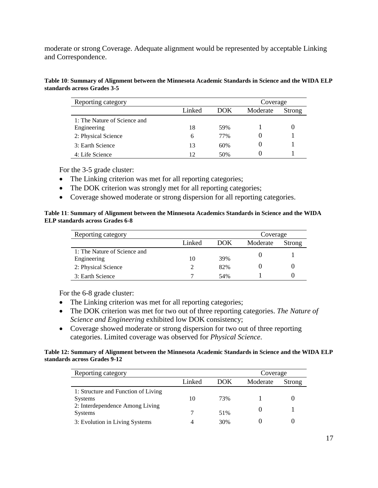moderate or strong Coverage. Adequate alignment would be represented by acceptable Linking and Correspondence.

| Table 10: Summary of Alignment between the Minnesota Academic Standards in Science and the WIDA ELP |  |
|-----------------------------------------------------------------------------------------------------|--|
| standards across Grades 3-5                                                                         |  |

| Reporting category           |        |     | Coverage |        |
|------------------------------|--------|-----|----------|--------|
|                              | Linked | DOK | Moderate | Strong |
| 1: The Nature of Science and |        |     |          |        |
| Engineering                  | 18     | 59% |          |        |
| 2: Physical Science          | 6      | 77% |          |        |
| 3: Earth Science             | 13     | 60% |          |        |
| 4: Life Science              | 12     | 50% |          |        |

For the 3-5 grade cluster:

- The Linking criterion was met for all reporting categories;
- The DOK criterion was strongly met for all reporting categories;
- Coverage showed moderate or strong dispersion for all reporting categories.

#### **Table 11**: **Summary of Alignment between the Minnesota Academics Standards in Science and the WIDA ELP standards across Grades 6-8**

| Reporting category<br>Coverage              |        |     |          |        |  |
|---------------------------------------------|--------|-----|----------|--------|--|
|                                             | Linked | DOK | Moderate | Strong |  |
| 1: The Nature of Science and<br>Engineering | 10     | 39% |          |        |  |
| 2: Physical Science                         |        | 82% |          |        |  |
| 3: Earth Science                            |        | 54% |          |        |  |

For the 6-8 grade cluster:

- The Linking criterion was met for all reporting categories;
- The DOK criterion was met for two out of three reporting categories. *The Nature of Science and Engineering* exhibited low DOK consistency;
- Coverage showed moderate or strong dispersion for two out of three reporting categories. Limited coverage was observed for *Physical Science*.

#### **Table 12: Summary of Alignment between the Minnesota Academic Standards in Science and the WIDA ELP standards across Grades 9-12**

| Reporting category                                    | Coverage |      |          |        |
|-------------------------------------------------------|----------|------|----------|--------|
|                                                       | Linked   | DOK. | Moderate | Strong |
| 1: Structure and Function of Living<br><b>Systems</b> | 10       | 73%  |          |        |
| 2: Interdependence Among Living<br><b>Systems</b>     |          | 51%  |          |        |
| 3: Evolution in Living Systems                        |          | 30%  |          |        |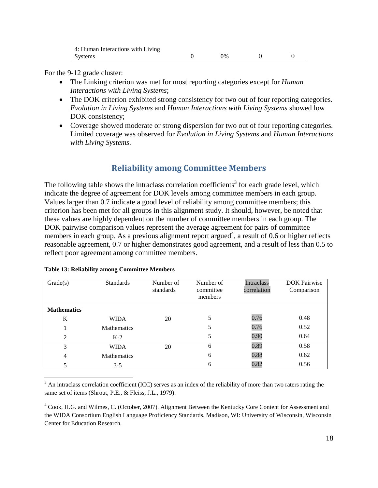| 4: Human Interactions with Living |            |  |
|-----------------------------------|------------|--|
| Systems                           | $\gamma\%$ |  |

For the 9-12 grade cluster:

- The Linking criterion was met for most reporting categories except for *Human Interactions with Living Systems*;
- The DOK criterion exhibited strong consistency for two out of four reporting categories. *Evolution in Living Systems* and *Human Interactions with Living Systems* showed low DOK consistency;
- Coverage showed moderate or strong dispersion for two out of four reporting categories. Limited coverage was observed for *Evolution in Living Systems* and *Human Interactions with Living Systems*.

## **Reliability among Committee Members**

The following table shows the intraclass correlation coefficients<sup>3</sup> for each grade level, which indicate the degree of agreement for DOK levels among committee members in each group. Values larger than 0.7 indicate a good level of reliability among committee members; this criterion has been met for all groups in this alignment study. It should, however, be noted that these values are highly dependent on the number of committee members in each group. The DOK pairwise comparison values represent the average agreement for pairs of committee members in each group. As a previous alignment report argued<sup>4</sup>, a result of 0.6 or higher reflects reasonable agreement, 0.7 or higher demonstrates good agreement, and a result of less than 0.5 to reflect poor agreement among committee members.

| Grade(s)           | <b>Standards</b>   | Number of<br>standards | Number of<br>committee<br>members | Intraclass<br>correlation | <b>DOK</b> Pairwise<br>Comparison |
|--------------------|--------------------|------------------------|-----------------------------------|---------------------------|-----------------------------------|
| <b>Mathematics</b> |                    |                        |                                   |                           |                                   |
| K                  | <b>WIDA</b>        | 20                     | 5                                 | 0.76                      | 0.48                              |
|                    | <b>Mathematics</b> |                        |                                   | 0.76                      | 0.52                              |
| 2                  | $K-2$              |                        | 5                                 | 0.90                      | 0.64                              |
| 3                  | <b>WIDA</b>        | 20                     | 6                                 | 0.89                      | 0.58                              |
| 4                  | <b>Mathematics</b> |                        | 6                                 | 0.88                      | 0.62                              |
|                    | $3 - 5$            |                        | 6                                 | 0.82                      | 0.56                              |

|  |  | <b>Table 13: Reliability among Committee Members</b> |  |
|--|--|------------------------------------------------------|--|
|  |  |                                                      |  |

 $\overline{a}$ 

 $3$  An intraclass correlation coefficient (ICC) serves as an index of the reliability of more than two raters rating the same set of items (Shrout, P.E., & Fleiss, J.L., 1979).

<sup>4</sup> [Cook, H.G.](http://www.wcer.wisc.edu/people/staff.php?sid=247) and [Wilmes, C.](http://wida.us/aboutus/staffBios/carstenwilmes.aspx) (October, 2007). Alignment Between the Kentucky Core Content for Assessment and the WIDA Consortium English Language Proficiency Standards. Madison, WI: University of Wisconsin, Wisconsin Center for Education Research.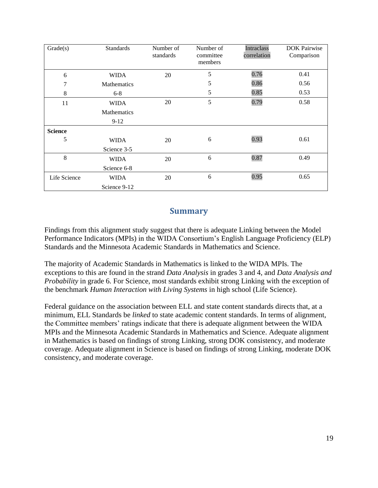| Grade(s)       | <b>Standards</b>   | Number of<br>standards | Number of<br>committee<br>members | Intraclass<br>correlation | <b>DOK Pairwise</b><br>Comparison |
|----------------|--------------------|------------------------|-----------------------------------|---------------------------|-----------------------------------|
| 6              | <b>WIDA</b>        | 20                     | 5                                 | 0.76                      | 0.41                              |
| 7              | <b>Mathematics</b> |                        | 5                                 | 0.86                      | 0.56                              |
| 8              | $6 - 8$            |                        | 5                                 | 0.85                      | 0.53                              |
| 11             | <b>WIDA</b>        | 20                     | 5                                 | 0.79                      | 0.58                              |
|                | <b>Mathematics</b> |                        |                                   |                           |                                   |
|                | $9-12$             |                        |                                   |                           |                                   |
| <b>Science</b> |                    |                        |                                   |                           |                                   |
| 5              | WIDA               | 20                     | 6                                 | 0.93                      | 0.61                              |
|                | Science 3-5        |                        |                                   |                           |                                   |
| 8              | WIDA               | 20                     | 6                                 | 0.87                      | 0.49                              |
|                | Science 6-8        |                        |                                   |                           |                                   |
| Life Science   | <b>WIDA</b>        | 20                     | 6                                 | 0.95                      | 0.65                              |
|                | Science 9-12       |                        |                                   |                           |                                   |

## **Summary**

Findings from this alignment study suggest that there is adequate Linking between the Model Performance Indicators (MPIs) in the WIDA Consortium's English Language Proficiency (ELP) Standards and the Minnesota Academic Standards in Mathematics and Science.

The majority of Academic Standards in Mathematics is linked to the WIDA MPIs. The exceptions to this are found in the strand *Data Analysis* in grades 3 and 4, and *Data Analysis and Probability* in grade 6. For Science, most standards exhibit strong Linking with the exception of the benchmark *Human Interaction with Living Systems* in high school (Life Science).

Federal guidance on the association between ELL and state content standards directs that, at a minimum, ELL Standards be *linked* to state academic content standards. In terms of alignment, the Committee members' ratings indicate that there is adequate alignment between the WIDA MPIs and the Minnesota Academic Standards in Mathematics and Science. Adequate alignment in Mathematics is based on findings of strong Linking, strong DOK consistency, and moderate coverage. Adequate alignment in Science is based on findings of strong Linking, moderate DOK consistency, and moderate coverage.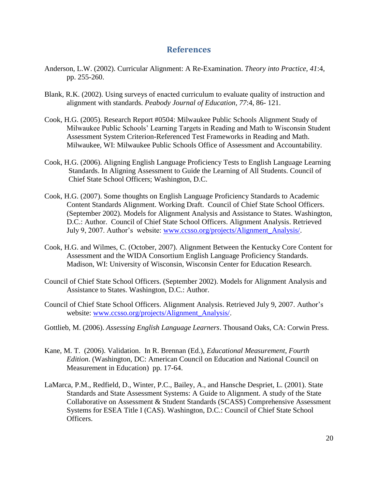## **References**

- Anderson, L.W. (2002). Curricular Alignment: A Re-Examination. *Theory into Practice, 41*:4, pp. 255-260.
- Blank, R.K. (2002). Using surveys of enacted curriculum to evaluate quality of instruction and alignment with standards. *Peabody Journal of Education, 77*:4, 86- 121.
- Cook, H.G. (2005). Research Report #0504: Milwaukee Public Schools Alignment Study of Milwaukee Public Schools' Learning Targets in Reading and Math to Wisconsin Student Assessment System Criterion-Referenced Test Frameworks in Reading and Math. Milwaukee, WI: Milwaukee Public Schools Office of Assessment and Accountability.
- Cook, H.G. (2006). Aligning English Language Proficiency Tests to English Language Learning Standards. In Aligning Assessment to Guide the Learning of All Students. Council of Chief State School Officers; Washington, D.C.
- Cook, H.G. (2007). Some thoughts on English Language Proficiency Standards to Academic Content Standards Alignment. Working Draft. Council of Chief State School Officers. (September 2002). Models for Alignment Analysis and Assistance to States. Washington, D.C.: Author. Council of Chief State School Officers. Alignment Analysis. Retrieved July 9, 2007. Author's website: [www.ccsso.org/projects/Alignment\\_Analysis/.](http://www.ccsso.org/projects/Alignment_Analysis/)
- [Cook, H.G.](http://www.wcer.wisc.edu/people/staff.php?sid=247) and [Wilmes, C.](http://wida.us/aboutus/staffBios/carstenwilmes.aspx) (October, 2007). Alignment Between the Kentucky Core Content for Assessment and the WIDA Consortium English Language Proficiency Standards. Madison, WI: University of Wisconsin, Wisconsin Center for Education Research.
- Council of Chief State School Officers. (September 2002). Models for Alignment Analysis and Assistance to States. Washington, D.C.: Author.
- Council of Chief State School Officers. Alignment Analysis. Retrieved July 9, 2007. Author's website: [www.ccsso.org/projects/Alignment\\_Analysis/.](http://www.ccsso.org/projects/Alignment_Analysis/)
- Gottlieb, M. (2006). *Assessing English Language Learners*. Thousand Oaks, CA: Corwin Press.
- Kane, M. T. (2006). Validation. In R. Brennan (Ed.), *Educational Measurement, Fourth Edition*. (Washington, DC: American Council on Education and National Council on Measurement in Education) pp. 17-64.
- LaMarca, P.M., Redfield, D., Winter, P.C., Bailey, A., and Hansche Despriet, L. (2001). State Standards and State Assessment Systems: A Guide to Alignment. A study of the State Collaborative on Assessment & Student Standards (SCASS) Comprehensive Assessment Systems for ESEA Title I (CAS). Washington, D.C.: Council of Chief State School Officers.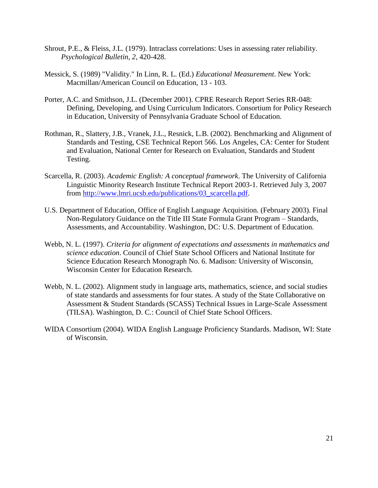- Shrout, P.E., & Fleiss, J.L. (1979). Intraclass correlations: Uses in assessing rater reliability. *Psychological Bulletin, 2*, 420-428.
- Messick, S. (1989) "Validity." In Linn, R. L. (Ed.) *Educational Measurement*. New York: Macmillan/American Council on Education, 13 - 103.
- Porter, A.C. and Smithson, J.L. (December 2001). CPRE Research Report Series RR-048: Defining, Developing, and Using Curriculum Indicators. Consortium for Policy Research in Education, University of Pennsylvania Graduate School of Education.
- Rothman, R., Slattery, J.B., Vranek, J.L., Resnick, L.B. (2002). Benchmarking and Alignment of Standards and Testing, CSE Technical Report 566. Los Angeles, CA: Center for Student and Evaluation, National Center for Research on Evaluation, Standards and Student Testing.
- Scarcella, R. (2003). *Academic English: A conceptual framework*. The University of California Linguistic Minority Research Institute Technical Report 2003-1. Retrieved July 3, 2007 from [http://www.lmri.ucsb.edu/publications/03\\_scarcella.pdf.](http://www.lmri.ucsb.edu/publications/03_scarcella.pdf)
- U.S. Department of Education, Office of English Language Acquisition. (February 2003). Final Non-Regulatory Guidance on the Title III State Formula Grant Program – Standards, Assessments, and Accountability. Washington, DC: U.S. Department of Education.
- Webb, N. L. (1997). *Criteria for alignment of expectations and assessments in mathematics and science education*. Council of Chief State School Officers and National Institute for Science Education Research Monograph No. 6. Madison: University of Wisconsin, Wisconsin Center for Education Research.
- Webb, N. L. (2002). Alignment study in language arts, mathematics, science, and social studies of state standards and assessments for four states. A study of the State Collaborative on Assessment & Student Standards (SCASS) Technical Issues in Large-Scale Assessment (TILSA). Washington, D. C.: Council of Chief State School Officers.
- WIDA Consortium (2004). WIDA English Language Proficiency Standards. Madison, WI: State of Wisconsin.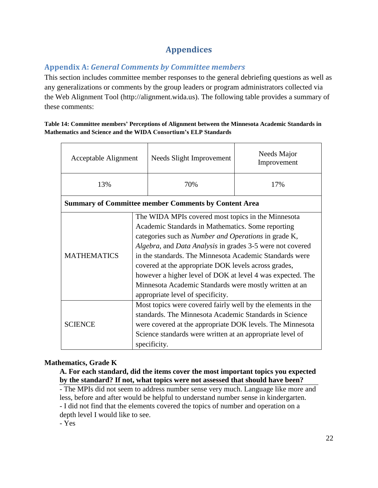# **Appendices**

## **Appendix A:** *General Comments by Committee members*

This section includes committee member responses to the general debriefing questions as well as any generalizations or comments by the group leaders or program administrators collected via the Web Alignment Tool (http://alignment.wida.us). The following table provides a summary of these comments:

#### **Table 14: Committee members' Perceptions of Alignment between the Minnesota Academic Standards in Mathematics and Science and the WIDA Consortium's ELP Standards**

| Acceptable Alignment                                        |                                                                                                                                                                                                                                                                                                                                                                                                                                                                                                                     | Needs Slight Improvement | Needs Major<br>Improvement |
|-------------------------------------------------------------|---------------------------------------------------------------------------------------------------------------------------------------------------------------------------------------------------------------------------------------------------------------------------------------------------------------------------------------------------------------------------------------------------------------------------------------------------------------------------------------------------------------------|--------------------------|----------------------------|
| 13%                                                         |                                                                                                                                                                                                                                                                                                                                                                                                                                                                                                                     | 70%                      | 17%                        |
| <b>Summary of Committee member Comments by Content Area</b> |                                                                                                                                                                                                                                                                                                                                                                                                                                                                                                                     |                          |                            |
| <b>MATHEMATICS</b>                                          | The WIDA MPIs covered most topics in the Minnesota<br>Academic Standards in Mathematics. Some reporting<br>categories such as <i>Number and Operations</i> in grade K,<br>Algebra, and Data Analysis in grades 3-5 were not covered<br>in the standards. The Minnesota Academic Standards were<br>covered at the appropriate DOK levels across grades,<br>however a higher level of DOK at level 4 was expected. The<br>Minnesota Academic Standards were mostly written at an<br>appropriate level of specificity. |                          |                            |
| <b>SCIENCE</b>                                              | Most topics were covered fairly well by the elements in the<br>standards. The Minnesota Academic Standards in Science<br>were covered at the appropriate DOK levels. The Minnesota<br>Science standards were written at an appropriate level of<br>specificity.                                                                                                                                                                                                                                                     |                          |                            |

## **Mathematics, Grade K**

**A. For each standard, did the items cover the most important topics you expected by the standard? If not, what topics were not assessed that should have been?**

- The MPIs did not seem to address number sense very much. Language like more and less, before and after would be helpful to understand number sense in kindergarten. - I did not find that the elements covered the topics of number and operation on a depth level I would like to see.

- Yes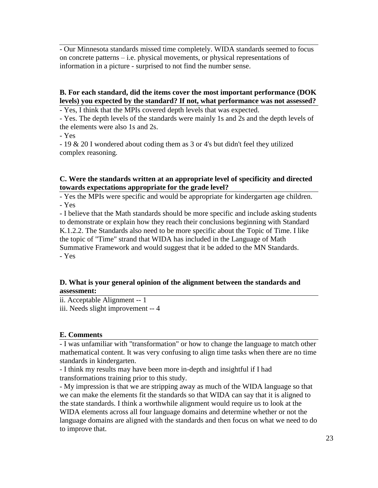- Our Minnesota standards missed time completely. WIDA standards seemed to focus on concrete patterns – i.e. physical movements, or physical representations of information in a picture - surprised to not find the number sense.

## **B. For each standard, did the items cover the most important performance (DOK levels) you expected by the standard? If not, what performance was not assessed?**

- Yes, I think that the MPIs covered depth levels that was expected.

- Yes. The depth levels of the standards were mainly 1s and 2s and the depth levels of the elements were also 1s and 2s.

- Yes

- 19 & 20 I wondered about coding them as 3 or 4's but didn't feel they utilized complex reasoning.

### **C. Were the standards written at an appropriate level of specificity and directed towards expectations appropriate for the grade level?**

- Yes the MPIs were specific and would be appropriate for kindergarten age children. - Yes

- I believe that the Math standards should be more specific and include asking students to demonstrate or explain how they reach their conclusions beginning with Standard K.1.2.2. The Standards also need to be more specific about the Topic of Time. I like the topic of "Time" strand that WIDA has included in the Language of Math Summative Framework and would suggest that it be added to the MN Standards. - Yes

## **D. What is your general opinion of the alignment between the standards and assessment:**

ii. Acceptable Alignment -- 1

iii. Needs slight improvement -- 4

## **E. Comments**

- I was unfamiliar with "transformation" or how to change the language to match other mathematical content. It was very confusing to align time tasks when there are no time standards in kindergarten.

- I think my results may have been more in-depth and insightful if I had transformations training prior to this study.

- My impression is that we are stripping away as much of the WIDA language so that we can make the elements fit the standards so that WIDA can say that it is aligned to the state standards. I think a worthwhile alignment would require us to look at the WIDA elements across all four language domains and determine whether or not the language domains are aligned with the standards and then focus on what we need to do to improve that.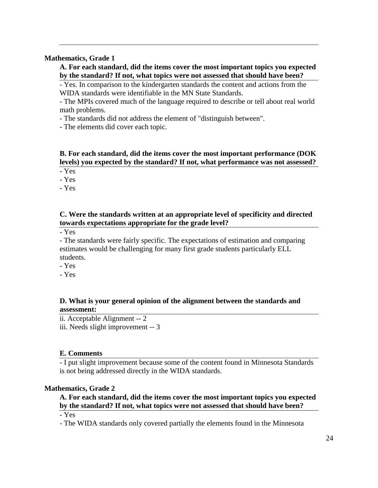#### **Mathematics, Grade 1**

**A. For each standard, did the items cover the most important topics you expected by the standard? If not, what topics were not assessed that should have been?**

- Yes. In comparison to the kindergarten standards the content and actions from the WIDA standards were identifiable in the MN State Standards.

- The MPIs covered much of the language required to describe or tell about real world math problems.

- The standards did not address the element of "distinguish between".

- The elements did cover each topic.

## **B. For each standard, did the items cover the most important performance (DOK levels) you expected by the standard? If not, what performance was not assessed?**

- Yes

- Yes

- Yes

### **C. Were the standards written at an appropriate level of specificity and directed towards expectations appropriate for the grade level?**

- Yes

- The standards were fairly specific. The expectations of estimation and comparing estimates would be challenging for many first grade students particularly ELL students.

- Yes

- Yes

### **D. What is your general opinion of the alignment between the standards and assessment:**

ii. Acceptable Alignment -- 2

iii. Needs slight improvement -- 3

#### **E. Comments**

- I put slight improvement because some of the content found in Minnesota Standards is not being addressed directly in the WIDA standards.

## **Mathematics, Grade 2**

## **A. For each standard, did the items cover the most important topics you expected by the standard? If not, what topics were not assessed that should have been?**

- Yes

- The WIDA standards only covered partially the elements found in the Minnesota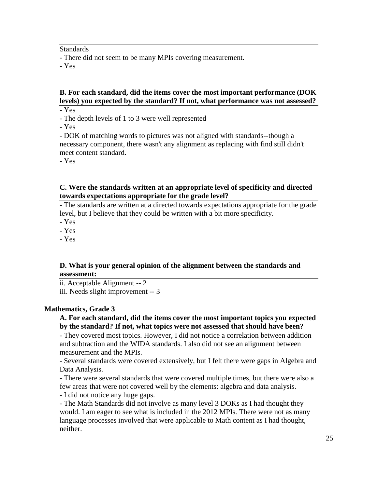**Standards** 

- There did not seem to be many MPIs covering measurement.

- Yes

## **B. For each standard, did the items cover the most important performance (DOK levels) you expected by the standard? If not, what performance was not assessed?**

- Yes

- The depth levels of 1 to 3 were well represented

- Yes

- DOK of matching words to pictures was not aligned with standards--though a necessary component, there wasn't any alignment as replacing with find still didn't meet content standard.

- Yes

#### **C. Were the standards written at an appropriate level of specificity and directed towards expectations appropriate for the grade level?**

- The standards are written at a directed towards expectations appropriate for the grade level, but I believe that they could be written with a bit more specificity.

- Yes

- Yes

- Yes

### **D. What is your general opinion of the alignment between the standards and assessment:**

ii. Acceptable Alignment -- 2 iii. Needs slight improvement -- 3

#### **Mathematics, Grade 3**

### **A. For each standard, did the items cover the most important topics you expected by the standard? If not, what topics were not assessed that should have been?**

- They covered most topics. However, I did not notice a correlation between addition and subtraction and the WIDA standards. I also did not see an alignment between measurement and the MPIs.

- Several standards were covered extensively, but I felt there were gaps in Algebra and Data Analysis.

- There were several standards that were covered multiple times, but there were also a few areas that were not covered well by the elements: algebra and data analysis.

- I did not notice any huge gaps.

- The Math Standards did not involve as many level 3 DOKs as I had thought they would. I am eager to see what is included in the 2012 MPIs. There were not as many language processes involved that were applicable to Math content as I had thought, neither.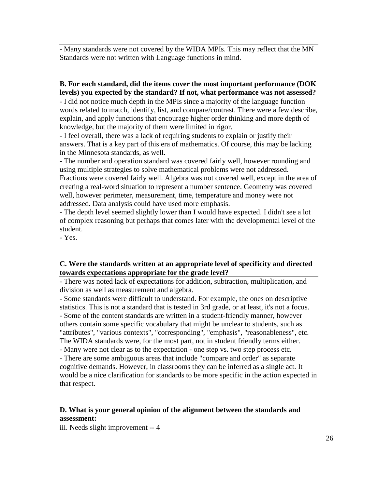- Many standards were not covered by the WIDA MPIs. This may reflect that the MN Standards were not written with Language functions in mind.

### **B. For each standard, did the items cover the most important performance (DOK levels) you expected by the standard? If not, what performance was not assessed?**

- I did not notice much depth in the MPIs since a majority of the language function words related to match, identify, list, and compare/contrast. There were a few describe, explain, and apply functions that encourage higher order thinking and more depth of knowledge, but the majority of them were limited in rigor.

- I feel overall, there was a lack of requiring students to explain or justify their answers. That is a key part of this era of mathematics. Of course, this may be lacking in the Minnesota standards, as well.

- The number and operation standard was covered fairly well, however rounding and using multiple strategies to solve mathematical problems were not addressed.

Fractions were covered fairly well. Algebra was not covered well, except in the area of creating a real-word situation to represent a number sentence. Geometry was covered well, however perimeter, measurement, time, temperature and money were not addressed. Data analysis could have used more emphasis.

- The depth level seemed slightly lower than I would have expected. I didn't see a lot of complex reasoning but perhaps that comes later with the developmental level of the student.

- Yes.

### **C. Were the standards written at an appropriate level of specificity and directed towards expectations appropriate for the grade level?**

- There was noted lack of expectations for addition, subtraction, multiplication, and division as well as measurement and algebra.

- Some standards were difficult to understand. For example, the ones on descriptive statistics. This is not a standard that is tested in 3rd grade, or at least, it's not a focus. - Some of the content standards are written in a student-friendly manner, however others contain some specific vocabulary that might be unclear to students, such as "attributes", "various contexts", "corresponding", "emphasis", "reasonableness", etc. The WIDA standards were, for the most part, not in student friendly terms either.

- Many were not clear as to the expectation - one step vs. two step process etc.

- There are some ambiguous areas that include "compare and order" as separate cognitive demands. However, in classrooms they can be inferred as a single act. It would be a nice clarification for standards to be more specific in the action expected in that respect.

## **D. What is your general opinion of the alignment between the standards and assessment:**

iii. Needs slight improvement -- 4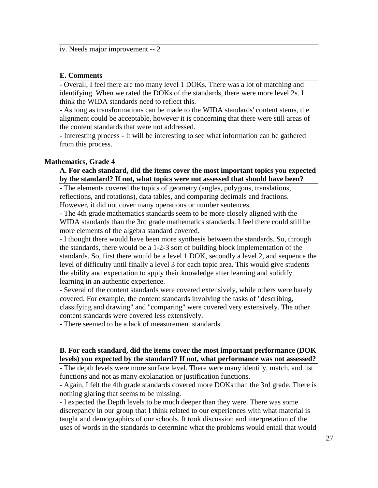iv. Needs major improvement -- 2

#### **E. Comments**

- Overall, I feel there are too many level 1 DOKs. There was a lot of matching and identifying. When we rated the DOKs of the standards, there were more level 2s. I think the WIDA standards need to reflect this.

- As long as transformations can be made to the WIDA standards' content stems, the alignment could be acceptable, however it is concerning that there were still areas of the content standards that were not addressed.

- Interesting process - It will be interesting to see what information can be gathered from this process.

#### **Mathematics, Grade 4**

#### **A. For each standard, did the items cover the most important topics you expected by the standard? If not, what topics were not assessed that should have been?**

- The elements covered the topics of geometry (angles, polygons, translations, reflections, and rotations), data tables, and comparing decimals and fractions. However, it did not cover many operations or number sentences.

- The 4th grade mathematics standards seem to be more closely aligned with the WIDA standards than the 3rd grade mathematics standards. I feel there could still be more elements of the algebra standard covered.

- I thought there would have been more synthesis between the standards. So, through the standards, there would be a 1-2-3 sort of building block implementation of the standards. So, first there would be a level 1 DOK, secondly a level 2, and sequence the level of difficulty until finally a level 3 for each topic area. This would give students the ability and expectation to apply their knowledge after learning and solidify learning in an authentic experience.

- Several of the content standards were covered extensively, while others were barely covered. For example, the content standards involving the tasks of "describing, classifying and drawing" and "comparing" were covered very extensively. The other content standards were covered less extensively.

- There seemed to be a lack of measurement standards.

#### **B. For each standard, did the items cover the most important performance (DOK levels) you expected by the standard? If not, what performance was not assessed?**

- The depth levels were more surface level. There were many identify, match, and list functions and not as many explanation or justification functions.

- Again, I felt the 4th grade standards covered more DOKs than the 3rd grade. There is nothing glaring that seems to be missing.

- I expected the Depth levels to be much deeper than they were. There was some discrepancy in our group that I think related to our experiences with what material is taught and demographics of our schools. It took discussion and interpretation of the uses of words in the standards to determine what the problems would entail that would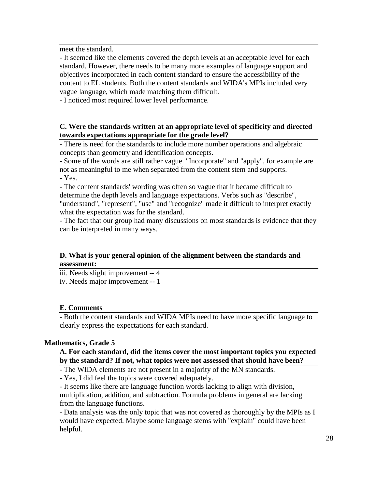meet the standard.

- It seemed like the elements covered the depth levels at an acceptable level for each standard. However, there needs to be many more examples of language support and objectives incorporated in each content standard to ensure the accessibility of the content to EL students. Both the content standards and WIDA's MPIs included very vague language, which made matching them difficult.

- I noticed most required lower level performance.

### **C. Were the standards written at an appropriate level of specificity and directed towards expectations appropriate for the grade level?**

- There is need for the standards to include more number operations and algebraic concepts than geometry and identification concepts.

- Some of the words are still rather vague. "Incorporate" and "apply", for example are not as meaningful to me when separated from the content stem and supports.

- Yes.

- The content standards' wording was often so vague that it became difficult to determine the depth levels and language expectations. Verbs such as "describe", "understand", "represent", "use" and "recognize" made it difficult to interpret exactly what the expectation was for the standard.

- The fact that our group had many discussions on most standards is evidence that they can be interpreted in many ways.

### **D. What is your general opinion of the alignment between the standards and assessment:**

iii. Needs slight improvement -- 4

iv. Needs major improvement -- 1

#### **E. Comments**

- Both the content standards and WIDA MPIs need to have more specific language to clearly express the expectations for each standard.

## **Mathematics, Grade 5**

#### **A. For each standard, did the items cover the most important topics you expected by the standard? If not, what topics were not assessed that should have been?**

- The WIDA elements are not present in a majority of the MN standards.

- Yes, I did feel the topics were covered adequately.

- It seems like there are language function words lacking to align with division, multiplication, addition, and subtraction. Formula problems in general are lacking from the language functions.

- Data analysis was the only topic that was not covered as thoroughly by the MPIs as I would have expected. Maybe some language stems with "explain" could have been helpful.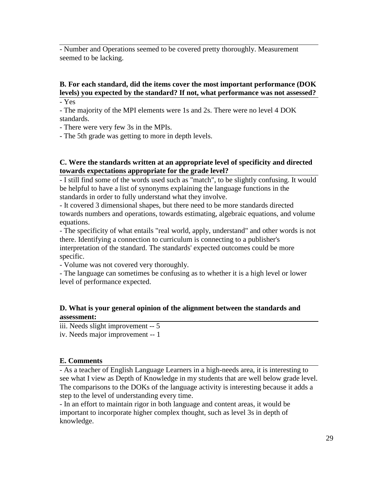- Number and Operations seemed to be covered pretty thoroughly. Measurement seemed to be lacking.

## **B. For each standard, did the items cover the most important performance (DOK levels) you expected by the standard? If not, what performance was not assessed?**

- Yes

- The majority of the MPI elements were 1s and 2s. There were no level 4 DOK standards.

- There were very few 3s in the MPIs.

- The 5th grade was getting to more in depth levels.

### **C. Were the standards written at an appropriate level of specificity and directed towards expectations appropriate for the grade level?**

- I still find some of the words used such as "match", to be slightly confusing. It would be helpful to have a list of synonyms explaining the language functions in the standards in order to fully understand what they involve.

- It covered 3 dimensional shapes, but there need to be more standards directed towards numbers and operations, towards estimating, algebraic equations, and volume equations.

- The specificity of what entails "real world, apply, understand" and other words is not there. Identifying a connection to curriculum is connecting to a publisher's interpretation of the standard. The standards' expected outcomes could be more specific.

- Volume was not covered very thoroughly.

- The language can sometimes be confusing as to whether it is a high level or lower level of performance expected.

## **D. What is your general opinion of the alignment between the standards and assessment:**

iii. Needs slight improvement -- 5 iv. Needs major improvement -- 1

## **E. Comments**

- As a teacher of English Language Learners in a high-needs area, it is interesting to see what I view as Depth of Knowledge in my students that are well below grade level. The comparisons to the DOKs of the language activity is interesting because it adds a step to the level of understanding every time.

- In an effort to maintain rigor in both language and content areas, it would be important to incorporate higher complex thought, such as level 3s in depth of knowledge.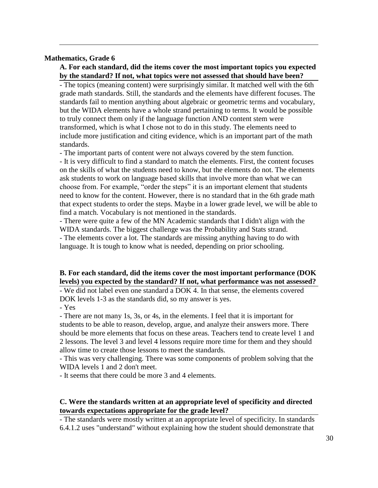#### **Mathematics, Grade 6**

#### **A. For each standard, did the items cover the most important topics you expected by the standard? If not, what topics were not assessed that should have been?**

- The topics (meaning content) were surprisingly similar. It matched well with the 6th grade math standards. Still, the standards and the elements have different focuses. The standards fail to mention anything about algebraic or geometric terms and vocabulary, but the WIDA elements have a whole strand pertaining to terms. It would be possible to truly connect them only if the language function AND content stem were transformed, which is what I chose not to do in this study. The elements need to include more justification and citing evidence, which is an important part of the math standards.

- The important parts of content were not always covered by the stem function. - It is very difficult to find a standard to match the elements. First, the content focuses on the skills of what the students need to know, but the elements do not. The elements ask students to work on language based skills that involve more than what we can choose from. For example, "order the steps" it is an important element that students need to know for the content. However, there is no standard that in the 6th grade math that expect students to order the steps. Maybe in a lower grade level, we will be able to find a match. Vocabulary is not mentioned in the standards.

- There were quite a few of the MN Academic standards that I didn't align with the WIDA standards. The biggest challenge was the Probability and Stats strand.

- The elements cover a lot. The standards are missing anything having to do with language. It is tough to know what is needed, depending on prior schooling.

#### **B. For each standard, did the items cover the most important performance (DOK levels) you expected by the standard? If not, what performance was not assessed?**

- We did not label even one standard a DOK 4. In that sense, the elements covered DOK levels 1-3 as the standards did, so my answer is yes.

- Yes

- There are not many 1s, 3s, or 4s, in the elements. I feel that it is important for students to be able to reason, develop, argue, and analyze their answers more. There should be more elements that focus on these areas. Teachers tend to create level 1 and 2 lessons. The level 3 and level 4 lessons require more time for them and they should allow time to create those lessons to meet the standards.

- This was very challenging. There was some components of problem solving that the WIDA levels 1 and 2 don't meet.

- It seems that there could be more 3 and 4 elements.

#### **C. Were the standards written at an appropriate level of specificity and directed towards expectations appropriate for the grade level?**

- The standards were mostly written at an appropriate level of specificity. In standards 6.4.1.2 uses "understand" without explaining how the student should demonstrate that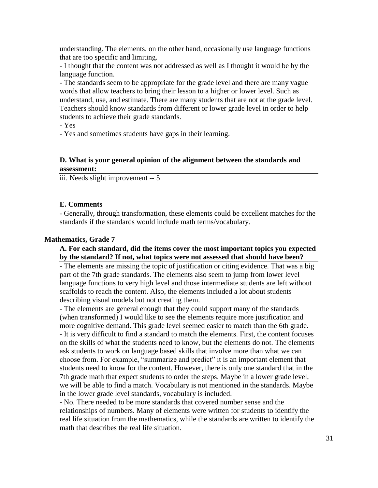understanding. The elements, on the other hand, occasionally use language functions that are too specific and limiting.

- I thought that the content was not addressed as well as I thought it would be by the language function.

- The standards seem to be appropriate for the grade level and there are many vague words that allow teachers to bring their lesson to a higher or lower level. Such as understand, use, and estimate. There are many students that are not at the grade level. Teachers should know standards from different or lower grade level in order to help students to achieve their grade standards.

- Yes

- Yes and sometimes students have gaps in their learning.

#### **D. What is your general opinion of the alignment between the standards and assessment:**

iii. Needs slight improvement -- 5

#### **E. Comments**

- Generally, through transformation, these elements could be excellent matches for the standards if the standards would include math terms/vocabulary.

#### **Mathematics, Grade 7**

#### **A. For each standard, did the items cover the most important topics you expected by the standard? If not, what topics were not assessed that should have been?**

- The elements are missing the topic of justification or citing evidence. That was a big part of the 7th grade standards. The elements also seem to jump from lower level language functions to very high level and those intermediate students are left without scaffolds to reach the content. Also, the elements included a lot about students describing visual models but not creating them.

- The elements are general enough that they could support many of the standards (when transformed) I would like to see the elements require more justification and more cognitive demand. This grade level seemed easier to match than the 6th grade. - It is very difficult to find a standard to match the elements. First, the content focuses on the skills of what the students need to know, but the elements do not. The elements ask students to work on language based skills that involve more than what we can choose from. For example, "summarize and predict" it is an important element that students need to know for the content. However, there is only one standard that in the 7th grade math that expect students to order the steps. Maybe in a lower grade level, we will be able to find a match. Vocabulary is not mentioned in the standards. Maybe in the lower grade level standards, vocabulary is included.

- No. There needed to be more standards that covered number sense and the relationships of numbers. Many of elements were written for students to identify the real life situation from the mathematics, while the standards are written to identify the math that describes the real life situation.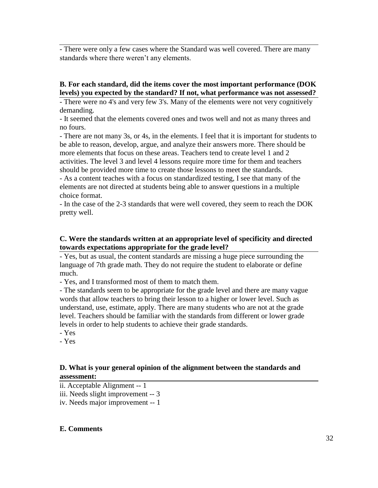- There were only a few cases where the Standard was well covered. There are many standards where there weren't any elements.

### **B. For each standard, did the items cover the most important performance (DOK levels) you expected by the standard? If not, what performance was not assessed?**

- There were no 4's and very few 3's. Many of the elements were not very cognitively demanding.

- It seemed that the elements covered ones and twos well and not as many threes and no fours.

- There are not many 3s, or 4s, in the elements. I feel that it is important for students to be able to reason, develop, argue, and analyze their answers more. There should be more elements that focus on these areas. Teachers tend to create level 1 and 2 activities. The level 3 and level 4 lessons require more time for them and teachers should be provided more time to create those lessons to meet the standards.

- As a content teaches with a focus on standardized testing, I see that many of the elements are not directed at students being able to answer questions in a multiple choice format.

- In the case of the 2-3 standards that were well covered, they seem to reach the DOK pretty well.

### **C. Were the standards written at an appropriate level of specificity and directed towards expectations appropriate for the grade level?**

- Yes, but as usual, the content standards are missing a huge piece surrounding the language of 7th grade math. They do not require the student to elaborate or define much.

- Yes, and I transformed most of them to match them.

- The standards seem to be appropriate for the grade level and there are many vague words that allow teachers to bring their lesson to a higher or lower level. Such as understand, use, estimate, apply. There are many students who are not at the grade level. Teachers should be familiar with the standards from different or lower grade levels in order to help students to achieve their grade standards.

- Yes

- Yes

### **D. What is your general opinion of the alignment between the standards and assessment:**

ii. Acceptable Alignment -- 1

iii. Needs slight improvement -- 3

iv. Needs major improvement -- 1

#### **E. Comments**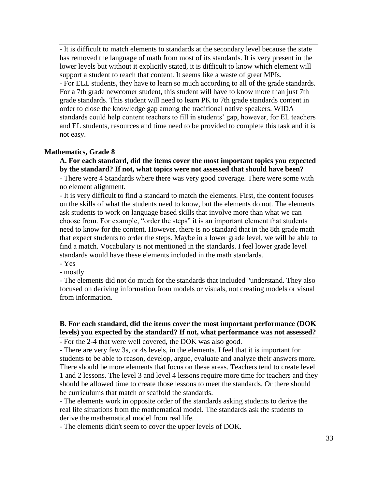- It is difficult to match elements to standards at the secondary level because the state has removed the language of math from most of its standards. It is very present in the lower levels but without it explicitly stated, it is difficult to know which element will support a student to reach that content. It seems like a waste of great MPIs. - For ELL students, they have to learn so much according to all of the grade standards. For a 7th grade newcomer student, this student will have to know more than just 7th grade standards. This student will need to learn PK to 7th grade standards content in order to close the knowledge gap among the traditional native speakers. WIDA standards could help content teachers to fill in students' gap, however, for EL teachers and EL students, resources and time need to be provided to complete this task and it is not easy.

#### **Mathematics, Grade 8**

#### **A. For each standard, did the items cover the most important topics you expected by the standard? If not, what topics were not assessed that should have been?**

- There were 4 Standards where there was very good coverage. There were some with no element alignment.

- It is very difficult to find a standard to match the elements. First, the content focuses on the skills of what the students need to know, but the elements do not. The elements ask students to work on language based skills that involve more than what we can choose from. For example, "order the steps" it is an important element that students need to know for the content. However, there is no standard that in the 8th grade math that expect students to order the steps. Maybe in a lower grade level, we will be able to find a match. Vocabulary is not mentioned in the standards. I feel lower grade level standards would have these elements included in the math standards.

- Yes

- mostly

- The elements did not do much for the standards that included "understand. They also focused on deriving information from models or visuals, not creating models or visual from information.

## **B. For each standard, did the items cover the most important performance (DOK levels) you expected by the standard? If not, what performance was not assessed?**

- For the 2-4 that were well covered, the DOK was also good.

- There are very few 3s, or 4s levels, in the elements. I feel that it is important for students to be able to reason, develop, argue, evaluate and analyze their answers more. There should be more elements that focus on these areas. Teachers tend to create level 1 and 2 lessons. The level 3 and level 4 lessons require more time for teachers and they should be allowed time to create those lessons to meet the standards. Or there should be curriculums that match or scaffold the standards.

- The elements work in opposite order of the standards asking students to derive the real life situations from the mathematical model. The standards ask the students to derive the mathematical model from real life.

- The elements didn't seem to cover the upper levels of DOK.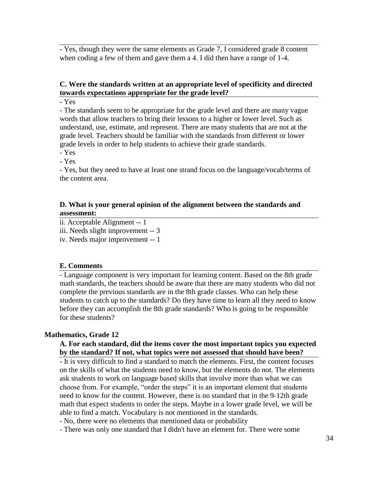- Yes, though they were the same elements as Grade 7, I considered grade 8 content when coding a few of them and gave them a 4. I did then have a range of 1-4.

### **C. Were the standards written at an appropriate level of specificity and directed towards expectations appropriate for the grade level?**

- Yes

- The standards seem to be appropriate for the grade level and there are many vague words that allow teachers to bring their lessons to a higher or lower level. Such as understand, use, estimate, and represent. There are many students that are not at the grade level. Teachers should be familiar with the standards from different or lower grade levels in order to help students to achieve their grade standards.

- Yes

- Yes

- Yes, but they need to have at least one strand focus on the language/vocab/terms of the content area.

#### **D. What is your general opinion of the alignment between the standards and assessment:**

ii. Acceptable Alignment -- 1

iii. Needs slight improvement -- 3

iv. Needs major improvement -- 1

#### **E. Comments**

- Language component is very important for learning content. Based on the 8th grade math standards, the teachers should be aware that there are many students who did not complete the previous standards are in the 8th grade classes. Who can help these students to catch up to the standards? Do they have time to learn all they need to know before they can accomplish the 8th grade standards? Who is going to be responsible for these students?

#### **Mathematics, Grade 12**

#### **A. For each standard, did the items cover the most important topics you expected by the standard? If not, what topics were not assessed that should have been?**

- It is very difficult to find a standard to match the elements. First, the content focuses on the skills of what the students need to know, but the elements do not. The elements ask students to work on language based skills that involve more than what we can choose from. For example, "order the steps" it is an important element that students need to know for the content. However, there is no standard that in the 9-12th grade math that expect students to order the steps. Maybe in a lower grade level, we will be able to find a match. Vocabulary is not mentioned in the standards.

- No, there were no elements that mentioned data or probability

- There was only one standard that I didn't have an element for. There were some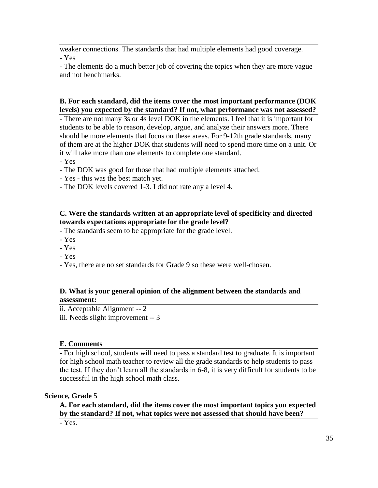weaker connections. The standards that had multiple elements had good coverage. - Yes

- The elements do a much better job of covering the topics when they are more vague and not benchmarks.

### **B. For each standard, did the items cover the most important performance (DOK levels) you expected by the standard? If not, what performance was not assessed?**

- There are not many 3s or 4s level DOK in the elements. I feel that it is important for students to be able to reason, develop, argue, and analyze their answers more. There should be more elements that focus on these areas. For 9-12th grade standards, many of them are at the higher DOK that students will need to spend more time on a unit. Or it will take more than one elements to complete one standard.

- Yes

- The DOK was good for those that had multiple elements attached.
- Yes this was the best match yet.
- The DOK levels covered 1-3. I did not rate any a level 4.

#### **C. Were the standards written at an appropriate level of specificity and directed towards expectations appropriate for the grade level?**

- The standards seem to be appropriate for the grade level.

- Yes

- Yes
- Yes
- Yes, there are no set standards for Grade 9 so these were well-chosen.

#### **D. What is your general opinion of the alignment between the standards and assessment:**

ii. Acceptable Alignment -- 2

iii. Needs slight improvement -- 3

#### **E. Comments**

- For high school, students will need to pass a standard test to graduate. It is important for high school math teacher to review all the grade standards to help students to pass the test. If they don't learn all the standards in 6-8, it is very difficult for students to be successful in the high school math class.

#### **Science, Grade 5**

**A. For each standard, did the items cover the most important topics you expected by the standard? If not, what topics were not assessed that should have been?** - Yes.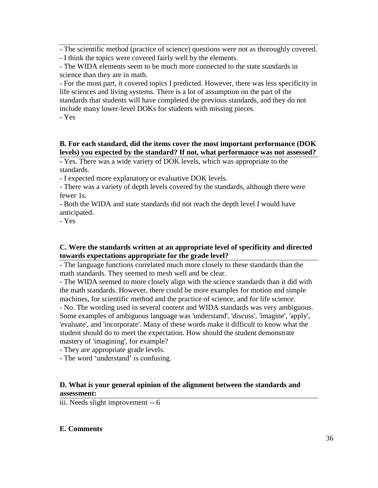- The scientific method (practice of science) questions were not as thoroughly covered.

- I think the topics were covered fairly well by the elements.

- The WIDA elements seem to be much more connected to the state standards in science than they are in math.

- For the most part, it covered topics I predicted. However, there was less specificity in life sciences and living systems. There is a lot of assumption on the part of the standards that students will have completed the previous standards, and they do not include many lower-level DOKs for students with missing pieces.

- Yes

## **B. For each standard, did the items cover the most important performance (DOK levels) you expected by the standard? If not, what performance was not assessed?**

- Yes. There was a wide variety of DOK levels, which was appropriate to the standards.

- I expected more explanatory or evaluative DOK levels.

- There was a variety of depth levels covered by the standards, although there were fewer 1s.

- Both the WIDA and state standards did not reach the depth level I would have anticipated.

- Yes

## **C. Were the standards written at an appropriate level of specificity and directed towards expectations appropriate for the grade level?**

- The language functions correlated much more closely to these standards than the math standards. They seemed to mesh well and be clear.

- The WIDA seemed to more closely align with the science standards than it did with the math standards. However, there could be more examples for motion and simple machines, for scientific method and the practice of science, and for life science. - No. The wording used in several content and WIDA standards was very ambiguous. Some examples of ambiguous language was 'understand', 'discuss', 'imagine', 'apply', 'evaluate', and 'incorporate'. Many of these words make it difficult to know what the student should do to meet the expectation. How should the student demonstrate mastery of 'imagining', for example?

- They are appropriate grade levels.

- The word 'understand' is confusing.

### **D. What is your general opinion of the alignment between the standards and assessment:**

iii. Needs slight improvement -- 6

## **E. Comments**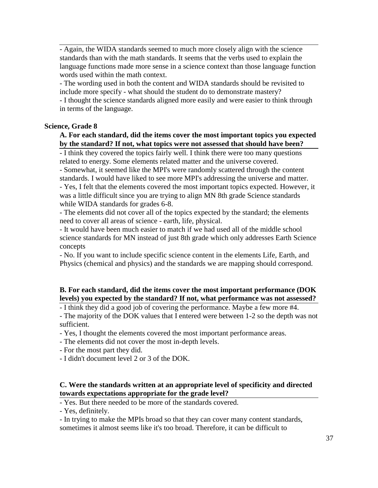- Again, the WIDA standards seemed to much more closely align with the science standards than with the math standards. It seems that the verbs used to explain the language functions made more sense in a science context than those language function words used within the math context.

- The wording used in both the content and WIDA standards should be revisited to include more specify - what should the student do to demonstrate mastery?

- I thought the science standards aligned more easily and were easier to think through in terms of the language.

#### **Science, Grade 8**

#### **A. For each standard, did the items cover the most important topics you expected by the standard? If not, what topics were not assessed that should have been?**

- I think they covered the topics fairly well. I think there were too many questions related to energy. Some elements related matter and the universe covered.

- Somewhat, it seemed like the MPI's were randomly scattered through the content standards. I would have liked to see more MPI's addressing the universe and matter.

- Yes, I felt that the elements covered the most important topics expected. However, it was a little difficult since you are trying to align MN 8th grade Science standards while WIDA standards for grades 6-8.

- The elements did not cover all of the topics expected by the standard; the elements need to cover all areas of science - earth, life, physical.

- It would have been much easier to match if we had used all of the middle school science standards for MN instead of just 8th grade which only addresses Earth Science concepts

- No. If you want to include specific science content in the elements Life, Earth, and Physics (chemical and physics) and the standards we are mapping should correspond.

### **B. For each standard, did the items cover the most important performance (DOK levels) you expected by the standard? If not, what performance was not assessed?**

- I think they did a good job of covering the performance. Maybe a few more #4.

- The majority of the DOK values that I entered were between 1-2 so the depth was not sufficient.

- Yes, I thought the elements covered the most important performance areas.

- The elements did not cover the most in-depth levels.

- For the most part they did.

- I didn't document level 2 or 3 of the DOK.

#### **C. Were the standards written at an appropriate level of specificity and directed towards expectations appropriate for the grade level?**

- Yes. But there needed to be more of the standards covered.

- Yes, definitely.

- In trying to make the MPIs broad so that they can cover many content standards, sometimes it almost seems like it's too broad. Therefore, it can be difficult to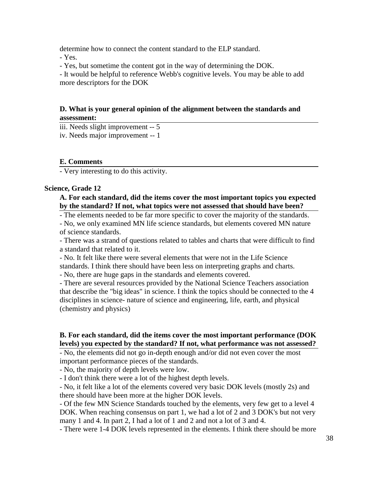determine how to connect the content standard to the ELP standard.

- Yes.

- Yes, but sometime the content got in the way of determining the DOK.

- It would be helpful to reference Webb's cognitive levels. You may be able to add more descriptors for the DOK

### **D. What is your general opinion of the alignment between the standards and assessment:**

iii. Needs slight improvement -- 5

iv. Needs major improvement -- 1

### **E. Comments**

- Very interesting to do this activity.

#### **Science, Grade 12**

### **A. For each standard, did the items cover the most important topics you expected by the standard? If not, what topics were not assessed that should have been?**

- The elements needed to be far more specific to cover the majority of the standards.

- No, we only examined MN life science standards, but elements covered MN nature of science standards.

- There was a strand of questions related to tables and charts that were difficult to find a standard that related to it.

- No. It felt like there were several elements that were not in the Life Science standards. I think there should have been less on interpreting graphs and charts. - No, there are huge gaps in the standards and elements covered.

- There are several resources provided by the National Science Teachers association that describe the "big ideas" in science. I think the topics should be connected to the 4 disciplines in science- nature of science and engineering, life, earth, and physical (chemistry and physics)

### **B. For each standard, did the items cover the most important performance (DOK levels) you expected by the standard? If not, what performance was not assessed?**

- No, the elements did not go in-depth enough and/or did not even cover the most important performance pieces of the standards.

- No, the majority of depth levels were low.

- I don't think there were a lot of the highest depth levels.

- No, it felt like a lot of the elements covered very basic DOK levels (mostly 2s) and there should have been more at the higher DOK levels.

- Of the few MN Science Standards touched by the elements, very few get to a level 4 DOK. When reaching consensus on part 1, we had a lot of 2 and 3 DOK's but not very many 1 and 4. In part 2, I had a lot of 1 and 2 and not a lot of 3 and 4.

- There were 1-4 DOK levels represented in the elements. I think there should be more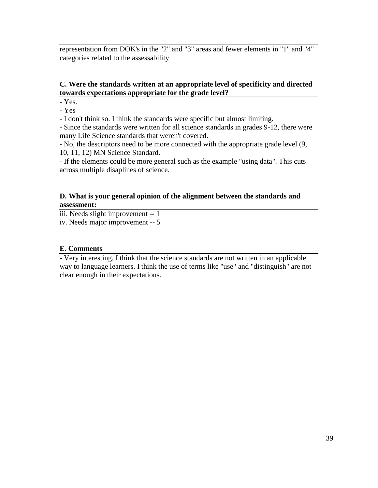representation from DOK's in the "2" and "3" areas and fewer elements in "1" and "4" categories related to the assessability

## **C. Were the standards written at an appropriate level of specificity and directed towards expectations appropriate for the grade level?**

- Yes.

- Yes

- I don't think so. I think the standards were specific but almost limiting.

- Since the standards were written for all science standards in grades 9-12, there were many Life Science standards that weren't covered.

- No, the descriptors need to be more connected with the appropriate grade level (9, 10, 11, 12) MN Science Standard.

- If the elements could be more general such as the example "using data". This cuts across multiple disaplines of science.

### **D. What is your general opinion of the alignment between the standards and assessment:**

iii. Needs slight improvement -- 1

iv. Needs major improvement -- 5

#### **E. Comments**

- Very interesting. I think that the science standards are not written in an applicable way to language learners. I think the use of terms like "use" and "distinguish" are not clear enough in their expectations.